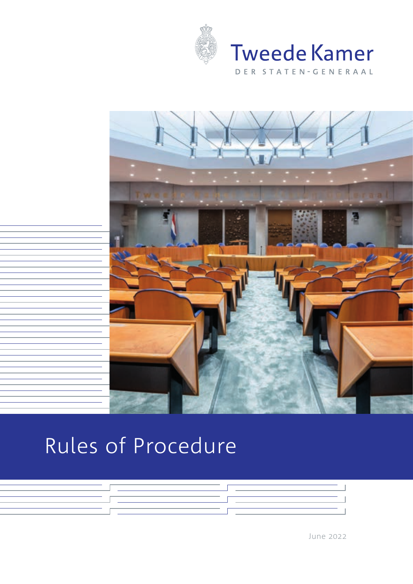



# Rules of Procedure



June 2022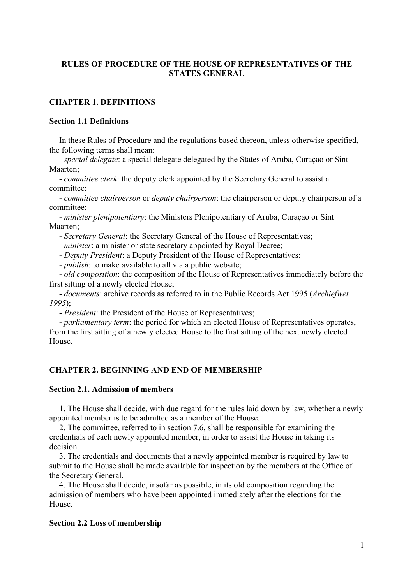# **RULES OF PROCEDURE OF THE HOUSE OF REPRESENTATIVES OF THE STATES GENERAL**

# **CHAPTER 1. DEFINITIONS**

## **Section 1.1 Definitions**

In these Rules of Procedure and the regulations based thereon, unless otherwise specified, the following terms shall mean:

 - *special delegate*: a special delegate delegated by the States of Aruba, Curaçao or Sint Maarten;

- *committee clerk*: the deputy clerk appointed by the Secretary General to assist a committee;

- *committee chairperson* or *deputy chairperson*: the chairperson or deputy chairperson of a committee;

 - *minister plenipotentiary*: the Ministers Plenipotentiary of Aruba, Curaçao or Sint Maarten;

- *Secretary General*: the Secretary General of the House of Representatives;

- *minister*: a minister or state secretary appointed by Royal Decree;

- *Deputy President*: a Deputy President of the House of Representatives;

- *publish*: to make available to all via a public website;

 - *old composition*: the composition of the House of Representatives immediately before the first sitting of a newly elected House;

 - *documents*: archive records as referred to in the Public Records Act 1995 (*Archiefwet 1995*);

- *President*: the President of the House of Representatives;

- *parliamentary term*: the period for which an elected House of Representatives operates, from the first sitting of a newly elected House to the first sitting of the next newly elected House.

# **CHAPTER 2. BEGINNING AND END OF MEMBERSHIP**

#### **Section 2.1. Admission of members**

1. The House shall decide, with due regard for the rules laid down by law, whether a newly appointed member is to be admitted as a member of the House.

2. The committee, referred to in section 7.6, shall be responsible for examining the credentials of each newly appointed member, in order to assist the House in taking its decision.

3. The credentials and documents that a newly appointed member is required by law to submit to the House shall be made available for inspection by the members at the Office of the Secretary General.

4. The House shall decide, insofar as possible, in its old composition regarding the admission of members who have been appointed immediately after the elections for the House.

#### **Section 2.2 Loss of membership**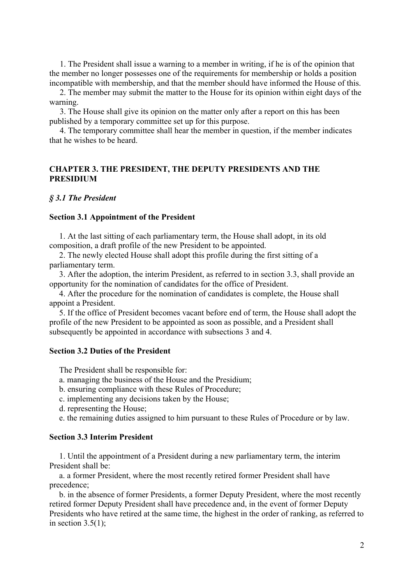1. The President shall issue a warning to a member in writing, if he is of the opinion that the member no longer possesses one of the requirements for membership or holds a position incompatible with membership, and that the member should have informed the House of this.

2. The member may submit the matter to the House for its opinion within eight days of the warning.

3. The House shall give its opinion on the matter only after a report on this has been published by a temporary committee set up for this purpose.

4. The temporary committee shall hear the member in question, if the member indicates that he wishes to be heard.

# **CHAPTER 3. THE PRESIDENT, THE DEPUTY PRESIDENTS AND THE PRESIDIUM**

## *§ 3.1 The President*

#### **Section 3.1 Appointment of the President**

 1. At the last sitting of each parliamentary term, the House shall adopt, in its old composition, a draft profile of the new President to be appointed.

 2. The newly elected House shall adopt this profile during the first sitting of a parliamentary term.

 3. After the adoption, the interim President, as referred to in section 3.3, shall provide an opportunity for the nomination of candidates for the office of President.

 4. After the procedure for the nomination of candidates is complete, the House shall appoint a President.

 5. If the office of President becomes vacant before end of term, the House shall adopt the profile of the new President to be appointed as soon as possible, and a President shall subsequently be appointed in accordance with subsections 3 and 4.

### **Section 3.2 Duties of the President**

The President shall be responsible for:

- a. managing the business of the House and the Presidium;
- b. ensuring compliance with these Rules of Procedure;
- c. implementing any decisions taken by the House;
- d. representing the House;
- e. the remaining duties assigned to him pursuant to these Rules of Procedure or by law.

# **Section 3.3 Interim President**

 1. Until the appointment of a President during a new parliamentary term, the interim President shall be:

a. a former President, where the most recently retired former President shall have precedence;

b. in the absence of former Presidents, a former Deputy President, where the most recently retired former Deputy President shall have precedence and, in the event of former Deputy Presidents who have retired at the same time, the highest in the order of ranking, as referred to in section  $3.5(1)$ ;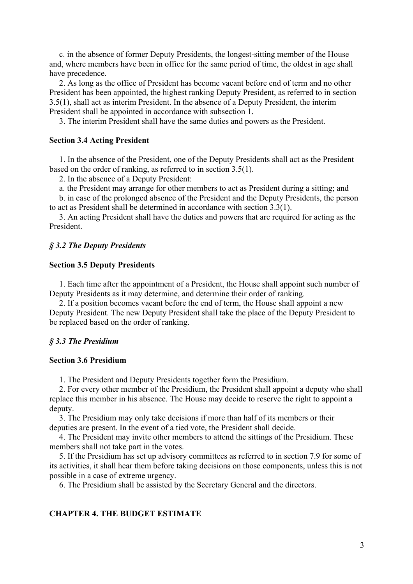c. in the absence of former Deputy Presidents, the longest-sitting member of the House and, where members have been in office for the same period of time, the oldest in age shall have precedence.

2. As long as the office of President has become vacant before end of term and no other President has been appointed, the highest ranking Deputy President, as referred to in section 3.5(1), shall act as interim President. In the absence of a Deputy President, the interim President shall be appointed in accordance with subsection 1.

3. The interim President shall have the same duties and powers as the President.

#### **Section 3.4 Acting President**

1. In the absence of the President, one of the Deputy Presidents shall act as the President based on the order of ranking, as referred to in section 3.5(1).

2. In the absence of a Deputy President:

a. the President may arrange for other members to act as President during a sitting; and

b. in case of the prolonged absence of the President and the Deputy Presidents, the person to act as President shall be determined in accordance with section 3.3(1).

 3. An acting President shall have the duties and powers that are required for acting as the President.

# *§ 3.2 The Deputy Presidents*

#### **Section 3.5 Deputy Presidents**

 1. Each time after the appointment of a President, the House shall appoint such number of Deputy Presidents as it may determine, and determine their order of ranking.

 2. If a position becomes vacant before the end of term, the House shall appoint a new Deputy President. The new Deputy President shall take the place of the Deputy President to be replaced based on the order of ranking.

### *§ 3.3 The Presidium*

## **Section 3.6 Presidium**

1. The President and Deputy Presidents together form the Presidium.

2. For every other member of the Presidium, the President shall appoint a deputy who shall replace this member in his absence. The House may decide to reserve the right to appoint a deputy.

 3. The Presidium may only take decisions if more than half of its members or their deputies are present. In the event of a tied vote, the President shall decide.

 4. The President may invite other members to attend the sittings of the Presidium. These members shall not take part in the votes.

 5. If the Presidium has set up advisory committees as referred to in section 7.9 for some of its activities, it shall hear them before taking decisions on those components, unless this is not possible in a case of extreme urgency.

6. The Presidium shall be assisted by the Secretary General and the directors.

## **CHAPTER 4. THE BUDGET ESTIMATE**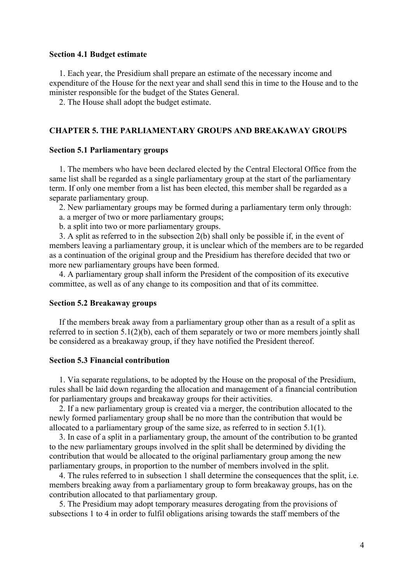#### **Section 4.1 Budget estimate**

1. Each year, the Presidium shall prepare an estimate of the necessary income and expenditure of the House for the next year and shall send this in time to the House and to the minister responsible for the budget of the States General.

2. The House shall adopt the budget estimate.

#### **CHAPTER 5. THE PARLIAMENTARY GROUPS AND BREAKAWAY GROUPS**

#### **Section 5.1 Parliamentary groups**

1. The members who have been declared elected by the Central Electoral Office from the same list shall be regarded as a single parliamentary group at the start of the parliamentary term. If only one member from a list has been elected, this member shall be regarded as a separate parliamentary group.

2. New parliamentary groups may be formed during a parliamentary term only through:

- a. a merger of two or more parliamentary groups;
- b. a split into two or more parliamentary groups.

3. A split as referred to in the subsection 2(b) shall only be possible if, in the event of members leaving a parliamentary group, it is unclear which of the members are to be regarded as a continuation of the original group and the Presidium has therefore decided that two or more new parliamentary groups have been formed.

4. A parliamentary group shall inform the President of the composition of its executive committee, as well as of any change to its composition and that of its committee.

#### **Section 5.2 Breakaway groups**

If the members break away from a parliamentary group other than as a result of a split as referred to in section 5.1(2)(b), each of them separately or two or more members jointly shall be considered as a breakaway group, if they have notified the President thereof.

## **Section 5.3 Financial contribution**

1. Via separate regulations, to be adopted by the House on the proposal of the Presidium, rules shall be laid down regarding the allocation and management of a financial contribution for parliamentary groups and breakaway groups for their activities.

2. If a new parliamentary group is created via a merger, the contribution allocated to the newly formed parliamentary group shall be no more than the contribution that would be allocated to a parliamentary group of the same size, as referred to in section 5.1(1).

3. In case of a split in a parliamentary group, the amount of the contribution to be granted to the new parliamentary groups involved in the split shall be determined by dividing the contribution that would be allocated to the original parliamentary group among the new parliamentary groups, in proportion to the number of members involved in the split.

4. The rules referred to in subsection 1 shall determine the consequences that the split, i.e. members breaking away from a parliamentary group to form breakaway groups, has on the contribution allocated to that parliamentary group.

 5. The Presidium may adopt temporary measures derogating from the provisions of subsections 1 to 4 in order to fulfil obligations arising towards the staff members of the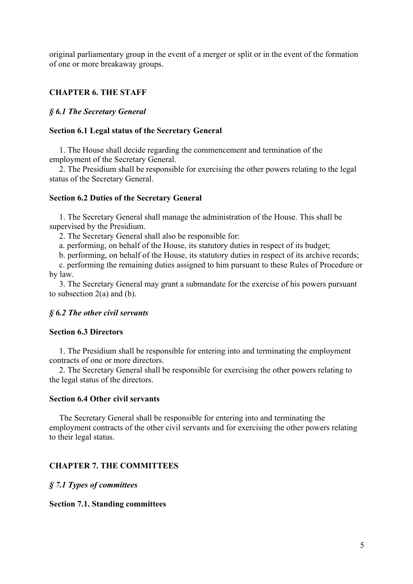original parliamentary group in the event of a merger or split or in the event of the formation of one or more breakaway groups.

# **CHAPTER 6. THE STAFF**

## *§ 6.1 The Secretary General*

#### **Section 6.1 Legal status of the Secretary General**

1. The House shall decide regarding the commencement and termination of the employment of the Secretary General.

2. The Presidium shall be responsible for exercising the other powers relating to the legal status of the Secretary General.

#### **Section 6.2 Duties of the Secretary General**

1. The Secretary General shall manage the administration of the House. This shall be supervised by the Presidium.

2. The Secretary General shall also be responsible for:

a. performing, on behalf of the House, its statutory duties in respect of its budget;

b. performing, on behalf of the House, its statutory duties in respect of its archive records;

c. performing the remaining duties assigned to him pursuant to these Rules of Procedure or by law.

 3. The Secretary General may grant a submandate for the exercise of his powers pursuant to subsection 2(a) and (b).

#### *§ 6.2 The other civil servants*

# **Section 6.3 Directors**

1. The Presidium shall be responsible for entering into and terminating the employment contracts of one or more directors.

2. The Secretary General shall be responsible for exercising the other powers relating to the legal status of the directors.

## **Section 6.4 Other civil servants**

The Secretary General shall be responsible for entering into and terminating the employment contracts of the other civil servants and for exercising the other powers relating to their legal status.

#### **CHAPTER 7. THE COMMITTEES**

*§ 7.1 Types of committees* 

#### **Section 7.1. Standing committees**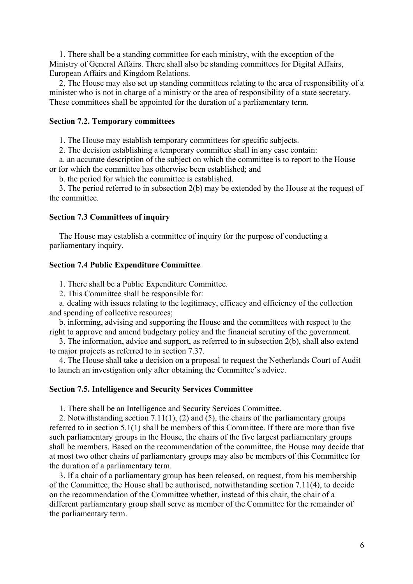1. There shall be a standing committee for each ministry, with the exception of the Ministry of General Affairs. There shall also be standing committees for Digital Affairs, European Affairs and Kingdom Relations.

 2. The House may also set up standing committees relating to the area of responsibility of a minister who is not in charge of a ministry or the area of responsibility of a state secretary. These committees shall be appointed for the duration of a parliamentary term.

## **Section 7.2. Temporary committees**

1. The House may establish temporary committees for specific subjects.

2. The decision establishing a temporary committee shall in any case contain:

 a. an accurate description of the subject on which the committee is to report to the House or for which the committee has otherwise been established; and

b. the period for which the committee is established.

 3. The period referred to in subsection 2(b) may be extended by the House at the request of the committee.

## **Section 7.3 Committees of inquiry**

 The House may establish a committee of inquiry for the purpose of conducting a parliamentary inquiry.

## **Section 7.4 Public Expenditure Committee**

1. There shall be a Public Expenditure Committee.

2. This Committee shall be responsible for:

a. dealing with issues relating to the legitimacy, efficacy and efficiency of the collection and spending of collective resources;

b. informing, advising and supporting the House and the committees with respect to the right to approve and amend budgetary policy and the financial scrutiny of the government.

3. The information, advice and support, as referred to in subsection 2(b), shall also extend to major projects as referred to in section 7.37.

4. The House shall take a decision on a proposal to request the Netherlands Court of Audit to launch an investigation only after obtaining the Committee's advice.

#### **Section 7.5. Intelligence and Security Services Committee**

1. There shall be an Intelligence and Security Services Committee.

 2. Notwithstanding section 7.11(1), (2) and (5), the chairs of the parliamentary groups referred to in section 5.1(1) shall be members of this Committee. If there are more than five such parliamentary groups in the House, the chairs of the five largest parliamentary groups shall be members. Based on the recommendation of the committee, the House may decide that at most two other chairs of parliamentary groups may also be members of this Committee for the duration of a parliamentary term.

3. If a chair of a parliamentary group has been released, on request, from his membership of the Committee, the House shall be authorised, notwithstanding section 7.11(4), to decide on the recommendation of the Committee whether, instead of this chair, the chair of a different parliamentary group shall serve as member of the Committee for the remainder of the parliamentary term.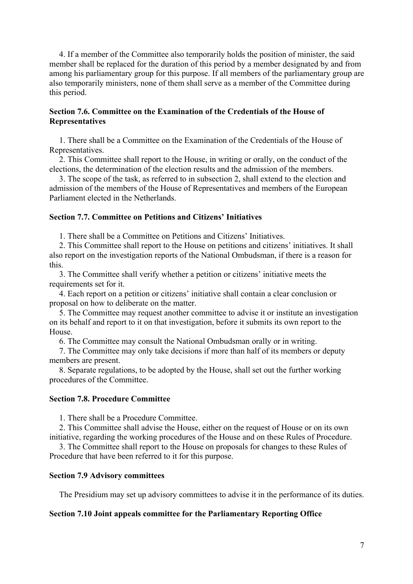4. If a member of the Committee also temporarily holds the position of minister, the said member shall be replaced for the duration of this period by a member designated by and from among his parliamentary group for this purpose. If all members of the parliamentary group are also temporarily ministers, none of them shall serve as a member of the Committee during this period.

# **Section 7.6. Committee on the Examination of the Credentials of the House of Representatives**

 1. There shall be a Committee on the Examination of the Credentials of the House of Representatives.

 2. This Committee shall report to the House, in writing or orally, on the conduct of the elections, the determination of the election results and the admission of the members.

 3. The scope of the task, as referred to in subsection 2, shall extend to the election and admission of the members of the House of Representatives and members of the European Parliament elected in the Netherlands.

## **Section 7.7. Committee on Petitions and Citizens' Initiatives**

1. There shall be a Committee on Petitions and Citizens' Initiatives.

 2. This Committee shall report to the House on petitions and citizens' initiatives. It shall also report on the investigation reports of the National Ombudsman, if there is a reason for this.

 3. The Committee shall verify whether a petition or citizens' initiative meets the requirements set for it.

 4. Each report on a petition or citizens' initiative shall contain a clear conclusion or proposal on how to deliberate on the matter.

 5. The Committee may request another committee to advise it or institute an investigation on its behalf and report to it on that investigation, before it submits its own report to the House.

6. The Committee may consult the National Ombudsman orally or in writing.

 7. The Committee may only take decisions if more than half of its members or deputy members are present.

 8. Separate regulations, to be adopted by the House, shall set out the further working procedures of the Committee.

## **Section 7.8. Procedure Committee**

1. There shall be a Procedure Committee.

 2. This Committee shall advise the House, either on the request of House or on its own initiative, regarding the working procedures of the House and on these Rules of Procedure.

 3. The Committee shall report to the House on proposals for changes to these Rules of Procedure that have been referred to it for this purpose.

## **Section 7.9 Advisory committees**

The Presidium may set up advisory committees to advise it in the performance of its duties.

#### **Section 7.10 Joint appeals committee for the Parliamentary Reporting Office**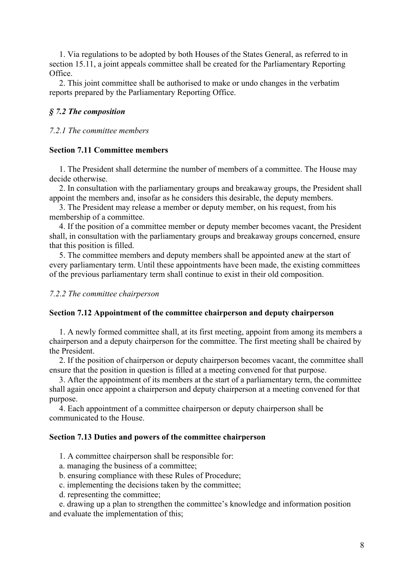1. Via regulations to be adopted by both Houses of the States General, as referred to in section 15.11, a joint appeals committee shall be created for the Parliamentary Reporting Office.

 2. This joint committee shall be authorised to make or undo changes in the verbatim reports prepared by the Parliamentary Reporting Office.

# *§ 7.2 The composition*

## *7.2.1 The committee members*

## **Section 7.11 Committee members**

 1. The President shall determine the number of members of a committee. The House may decide otherwise.

 2. In consultation with the parliamentary groups and breakaway groups, the President shall appoint the members and, insofar as he considers this desirable, the deputy members.

 3. The President may release a member or deputy member, on his request, from his membership of a committee.

 4. If the position of a committee member or deputy member becomes vacant, the President shall, in consultation with the parliamentary groups and breakaway groups concerned, ensure that this position is filled.

 5. The committee members and deputy members shall be appointed anew at the start of every parliamentary term. Until these appointments have been made, the existing committees of the previous parliamentary term shall continue to exist in their old composition.

#### *7.2.2 The committee chairperson*

#### **Section 7.12 Appointment of the committee chairperson and deputy chairperson**

 1. A newly formed committee shall, at its first meeting, appoint from among its members a chairperson and a deputy chairperson for the committee. The first meeting shall be chaired by the President.

 2. If the position of chairperson or deputy chairperson becomes vacant, the committee shall ensure that the position in question is filled at a meeting convened for that purpose.

 3. After the appointment of its members at the start of a parliamentary term, the committee shall again once appoint a chairperson and deputy chairperson at a meeting convened for that purpose.

 4. Each appointment of a committee chairperson or deputy chairperson shall be communicated to the House.

#### **Section 7.13 Duties and powers of the committee chairperson**

- 1. A committee chairperson shall be responsible for:
- a. managing the business of a committee;
- b. ensuring compliance with these Rules of Procedure;
- c. implementing the decisions taken by the committee;
- d. representing the committee;

 e. drawing up a plan to strengthen the committee's knowledge and information position and evaluate the implementation of this;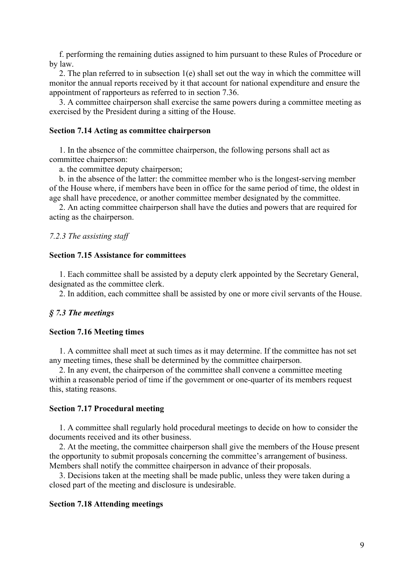f. performing the remaining duties assigned to him pursuant to these Rules of Procedure or by law.

2. The plan referred to in subsection 1(e) shall set out the way in which the committee will monitor the annual reports received by it that account for national expenditure and ensure the appointment of rapporteurs as referred to in section 7.36.

 3. A committee chairperson shall exercise the same powers during a committee meeting as exercised by the President during a sitting of the House.

## **Section 7.14 Acting as committee chairperson**

 1. In the absence of the committee chairperson, the following persons shall act as committee chairperson:

a. the committee deputy chairperson;

 b. in the absence of the latter: the committee member who is the longest-serving member of the House where, if members have been in office for the same period of time, the oldest in age shall have precedence, or another committee member designated by the committee.

 2. An acting committee chairperson shall have the duties and powers that are required for acting as the chairperson.

#### *7.2.3 The assisting staff*

#### **Section 7.15 Assistance for committees**

 1. Each committee shall be assisted by a deputy clerk appointed by the Secretary General, designated as the committee clerk.

2. In addition, each committee shall be assisted by one or more civil servants of the House.

#### *§ 7.3 The meetings*

## **Section 7.16 Meeting times**

 1. A committee shall meet at such times as it may determine. If the committee has not set any meeting times, these shall be determined by the committee chairperson.

 2. In any event, the chairperson of the committee shall convene a committee meeting within a reasonable period of time if the government or one-quarter of its members request this, stating reasons.

## **Section 7.17 Procedural meeting**

 1. A committee shall regularly hold procedural meetings to decide on how to consider the documents received and its other business.

 2. At the meeting, the committee chairperson shall give the members of the House present the opportunity to submit proposals concerning the committee's arrangement of business. Members shall notify the committee chairperson in advance of their proposals.

 3. Decisions taken at the meeting shall be made public, unless they were taken during a closed part of the meeting and disclosure is undesirable.

## **Section 7.18 Attending meetings**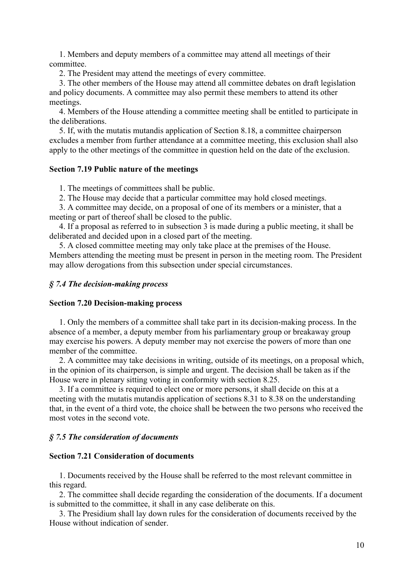1. Members and deputy members of a committee may attend all meetings of their committee.

2. The President may attend the meetings of every committee.

 3. The other members of the House may attend all committee debates on draft legislation and policy documents. A committee may also permit these members to attend its other meetings.

 4. Members of the House attending a committee meeting shall be entitled to participate in the deliberations.

 5. If, with the mutatis mutandis application of Section 8.18, a committee chairperson excludes a member from further attendance at a committee meeting, this exclusion shall also apply to the other meetings of the committee in question held on the date of the exclusion.

## **Section 7.19 Public nature of the meetings**

1. The meetings of committees shall be public.

2. The House may decide that a particular committee may hold closed meetings.

 3. A committee may decide, on a proposal of one of its members or a minister, that a meeting or part of thereof shall be closed to the public.

 4. If a proposal as referred to in subsection 3 is made during a public meeting, it shall be deliberated and decided upon in a closed part of the meeting.

 5. A closed committee meeting may only take place at the premises of the House. Members attending the meeting must be present in person in the meeting room. The President may allow derogations from this subsection under special circumstances.

## *§ 7.4 The decision-making process*

#### **Section 7.20 Decision-making process**

 1. Only the members of a committee shall take part in its decision-making process. In the absence of a member, a deputy member from his parliamentary group or breakaway group may exercise his powers. A deputy member may not exercise the powers of more than one member of the committee.

 2. A committee may take decisions in writing, outside of its meetings, on a proposal which, in the opinion of its chairperson, is simple and urgent. The decision shall be taken as if the House were in plenary sitting voting in conformity with section 8.25.

 3. If a committee is required to elect one or more persons, it shall decide on this at a meeting with the mutatis mutandis application of sections 8.31 to 8.38 on the understanding that, in the event of a third vote, the choice shall be between the two persons who received the most votes in the second vote.

## *§ 7.5 The consideration of documents*

## **Section 7.21 Consideration of documents**

 1. Documents received by the House shall be referred to the most relevant committee in this regard.

 2. The committee shall decide regarding the consideration of the documents. If a document is submitted to the committee, it shall in any case deliberate on this.

 3. The Presidium shall lay down rules for the consideration of documents received by the House without indication of sender.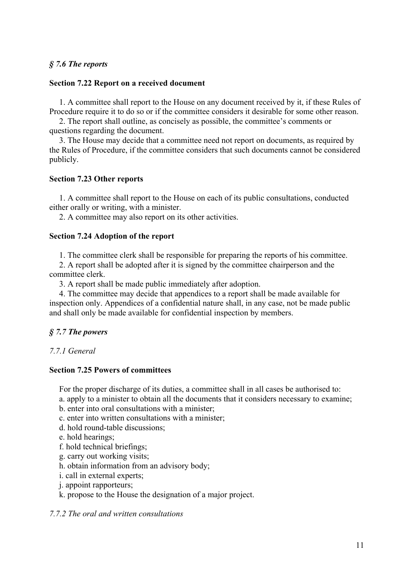# *§ 7.6 The reports*

## **Section 7.22 Report on a received document**

 1. A committee shall report to the House on any document received by it, if these Rules of Procedure require it to do so or if the committee considers it desirable for some other reason.

 2. The report shall outline, as concisely as possible, the committee's comments or questions regarding the document.

 3. The House may decide that a committee need not report on documents, as required by the Rules of Procedure, if the committee considers that such documents cannot be considered publicly.

## **Section 7.23 Other reports**

 1. A committee shall report to the House on each of its public consultations, conducted either orally or writing, with a minister.

2. A committee may also report on its other activities.

#### **Section 7.24 Adoption of the report**

1. The committee clerk shall be responsible for preparing the reports of his committee.

 2. A report shall be adopted after it is signed by the committee chairperson and the committee clerk.

3. A report shall be made public immediately after adoption.

 4. The committee may decide that appendices to a report shall be made available for inspection only. Appendices of a confidential nature shall, in any case, not be made public and shall only be made available for confidential inspection by members.

# *§ 7.7 The powers*

## *7.7.1 General*

# **Section 7.25 Powers of committees**

For the proper discharge of its duties, a committee shall in all cases be authorised to:

a. apply to a minister to obtain all the documents that it considers necessary to examine;

b. enter into oral consultations with a minister;

- c. enter into written consultations with a minister;
- d. hold round-table discussions;
- e. hold hearings;
- f. hold technical briefings;
- g. carry out working visits;
- h. obtain information from an advisory body;
- i. call in external experts;
- j. appoint rapporteurs;

k. propose to the House the designation of a major project.

## *7.7.2 The oral and written consultations*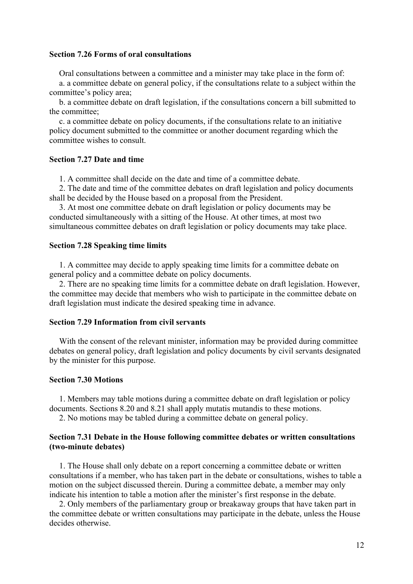#### **Section 7.26 Forms of oral consultations**

Oral consultations between a committee and a minister may take place in the form of:

 a. a committee debate on general policy, if the consultations relate to a subject within the committee's policy area;

 b. a committee debate on draft legislation, if the consultations concern a bill submitted to the committee;

 c. a committee debate on policy documents, if the consultations relate to an initiative policy document submitted to the committee or another document regarding which the committee wishes to consult.

## **Section 7.27 Date and time**

1. A committee shall decide on the date and time of a committee debate.

 2. The date and time of the committee debates on draft legislation and policy documents shall be decided by the House based on a proposal from the President.

 3. At most one committee debate on draft legislation or policy documents may be conducted simultaneously with a sitting of the House. At other times, at most two simultaneous committee debates on draft legislation or policy documents may take place.

#### **Section 7.28 Speaking time limits**

 1. A committee may decide to apply speaking time limits for a committee debate on general policy and a committee debate on policy documents.

 2. There are no speaking time limits for a committee debate on draft legislation. However, the committee may decide that members who wish to participate in the committee debate on draft legislation must indicate the desired speaking time in advance.

## **Section 7.29 Information from civil servants**

 With the consent of the relevant minister, information may be provided during committee debates on general policy, draft legislation and policy documents by civil servants designated by the minister for this purpose.

#### **Section 7.30 Motions**

 1. Members may table motions during a committee debate on draft legislation or policy documents. Sections 8.20 and 8.21 shall apply mutatis mutandis to these motions.

2. No motions may be tabled during a committee debate on general policy.

## **Section 7.31 Debate in the House following committee debates or written consultations (two-minute debates)**

 1. The House shall only debate on a report concerning a committee debate or written consultations if a member, who has taken part in the debate or consultations, wishes to table a motion on the subject discussed therein. During a committee debate, a member may only indicate his intention to table a motion after the minister's first response in the debate.

 2. Only members of the parliamentary group or breakaway groups that have taken part in the committee debate or written consultations may participate in the debate, unless the House decides otherwise.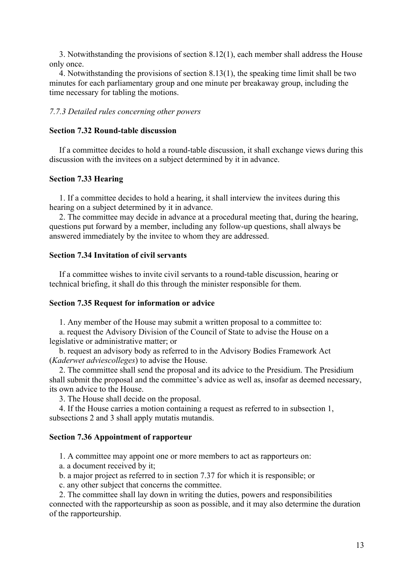3. Notwithstanding the provisions of section 8.12(1), each member shall address the House only once.

 4. Notwithstanding the provisions of section 8.13(1), the speaking time limit shall be two minutes for each parliamentary group and one minute per breakaway group, including the time necessary for tabling the motions.

## *7.7.3 Detailed rules concerning other powers*

#### **Section 7.32 Round-table discussion**

 If a committee decides to hold a round-table discussion, it shall exchange views during this discussion with the invitees on a subject determined by it in advance.

#### **Section 7.33 Hearing**

 1. If a committee decides to hold a hearing, it shall interview the invitees during this hearing on a subject determined by it in advance.

 2. The committee may decide in advance at a procedural meeting that, during the hearing, questions put forward by a member, including any follow-up questions, shall always be answered immediately by the invitee to whom they are addressed.

# **Section 7.34 Invitation of civil servants**

 If a committee wishes to invite civil servants to a round-table discussion, hearing or technical briefing, it shall do this through the minister responsible for them.

#### **Section 7.35 Request for information or advice**

1. Any member of the House may submit a written proposal to a committee to:

 a. request the Advisory Division of the Council of State to advise the House on a legislative or administrative matter; or

 b. request an advisory body as referred to in the Advisory Bodies Framework Act (*Kaderwet adviescolleges*) to advise the House.

 2. The committee shall send the proposal and its advice to the Presidium. The Presidium shall submit the proposal and the committee's advice as well as, insofar as deemed necessary, its own advice to the House.

3. The House shall decide on the proposal.

 4. If the House carries a motion containing a request as referred to in subsection 1, subsections 2 and 3 shall apply mutatis mutandis.

# **Section 7.36 Appointment of rapporteur**

1. A committee may appoint one or more members to act as rapporteurs on:

a. a document received by it;

b. a major project as referred to in section 7.37 for which it is responsible; or

c. any other subject that concerns the committee.

 2. The committee shall lay down in writing the duties, powers and responsibilities connected with the rapporteurship as soon as possible, and it may also determine the duration of the rapporteurship.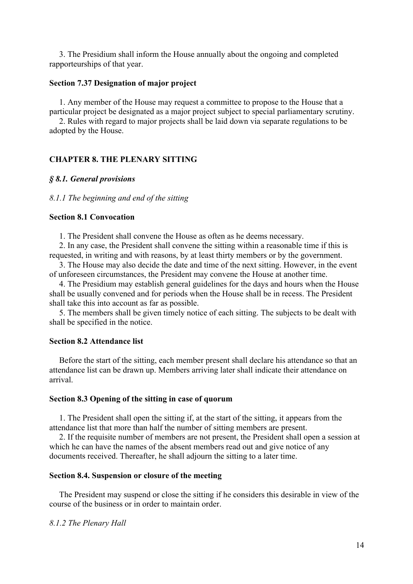3. The Presidium shall inform the House annually about the ongoing and completed rapporteurships of that year.

## **Section 7.37 Designation of major project**

 1. Any member of the House may request a committee to propose to the House that a particular project be designated as a major project subject to special parliamentary scrutiny.

 2. Rules with regard to major projects shall be laid down via separate regulations to be adopted by the House.

#### **CHAPTER 8. THE PLENARY SITTING**

#### *§ 8.1. General provisions*

#### *8.1.1 The beginning and end of the sitting*

## **Section 8.1 Convocation**

1. The President shall convene the House as often as he deems necessary.

2. In any case, the President shall convene the sitting within a reasonable time if this is requested, in writing and with reasons, by at least thirty members or by the government.

3. The House may also decide the date and time of the next sitting. However, in the event of unforeseen circumstances, the President may convene the House at another time.

4. The Presidium may establish general guidelines for the days and hours when the House shall be usually convened and for periods when the House shall be in recess. The President shall take this into account as far as possible.

5. The members shall be given timely notice of each sitting. The subjects to be dealt with shall be specified in the notice.

#### **Section 8.2 Attendance list**

Before the start of the sitting, each member present shall declare his attendance so that an attendance list can be drawn up. Members arriving later shall indicate their attendance on arrival.

#### **Section 8.3 Opening of the sitting in case of quorum**

1. The President shall open the sitting if, at the start of the sitting, it appears from the attendance list that more than half the number of sitting members are present.

2. If the requisite number of members are not present, the President shall open a session at which he can have the names of the absent members read out and give notice of any documents received. Thereafter, he shall adjourn the sitting to a later time.

#### **Section 8.4. Suspension or closure of the meeting**

The President may suspend or close the sitting if he considers this desirable in view of the course of the business or in order to maintain order.

*8.1.2 The Plenary Hall*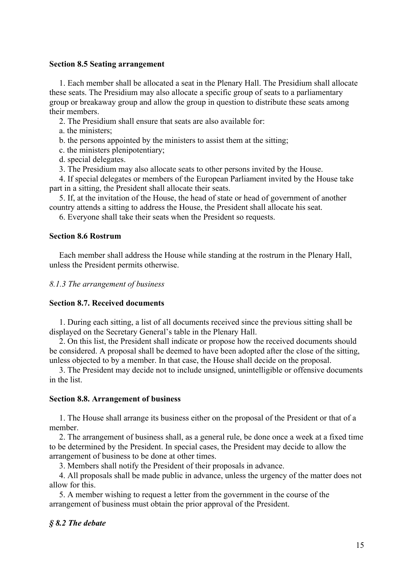## **Section 8.5 Seating arrangement**

1. Each member shall be allocated a seat in the Plenary Hall. The Presidium shall allocate these seats. The Presidium may also allocate a specific group of seats to a parliamentary group or breakaway group and allow the group in question to distribute these seats among their members.

2. The Presidium shall ensure that seats are also available for:

a. the ministers;

b. the persons appointed by the ministers to assist them at the sitting;

c. the ministers plenipotentiary;

d. special delegates.

3. The Presidium may also allocate seats to other persons invited by the House.

4. If special delegates or members of the European Parliament invited by the House take part in a sitting, the President shall allocate their seats.

5. If, at the invitation of the House, the head of state or head of government of another country attends a sitting to address the House, the President shall allocate his seat.

6. Everyone shall take their seats when the President so requests.

## **Section 8.6 Rostrum**

Each member shall address the House while standing at the rostrum in the Plenary Hall, unless the President permits otherwise.

*8.1.3 The arrangement of business* 

## **Section 8.7. Received documents**

 1. During each sitting, a list of all documents received since the previous sitting shall be displayed on the Secretary General's table in the Plenary Hall.

 2. On this list, the President shall indicate or propose how the received documents should be considered. A proposal shall be deemed to have been adopted after the close of the sitting, unless objected to by a member. In that case, the House shall decide on the proposal.

 3. The President may decide not to include unsigned, unintelligible or offensive documents in the list.

#### **Section 8.8. Arrangement of business**

 1. The House shall arrange its business either on the proposal of the President or that of a member.

 2. The arrangement of business shall, as a general rule, be done once a week at a fixed time to be determined by the President. In special cases, the President may decide to allow the arrangement of business to be done at other times.

3. Members shall notify the President of their proposals in advance.

 4. All proposals shall be made public in advance, unless the urgency of the matter does not allow for this.

 5. A member wishing to request a letter from the government in the course of the arrangement of business must obtain the prior approval of the President.

# *§ 8.2 The debate*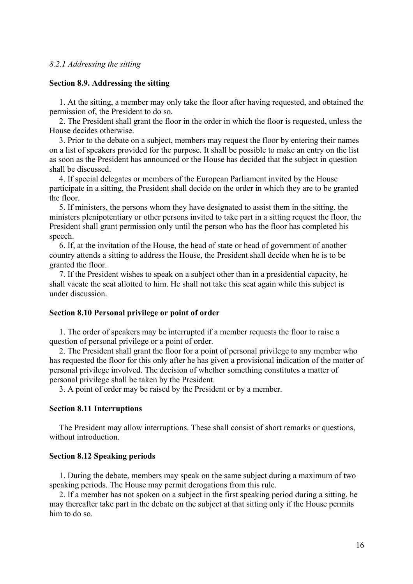## *8.2.1 Addressing the sitting*

#### **Section 8.9. Addressing the sitting**

 1. At the sitting, a member may only take the floor after having requested, and obtained the permission of, the President to do so.

 2. The President shall grant the floor in the order in which the floor is requested, unless the House decides otherwise.

 3. Prior to the debate on a subject, members may request the floor by entering their names on a list of speakers provided for the purpose. It shall be possible to make an entry on the list as soon as the President has announced or the House has decided that the subject in question shall be discussed.

 4. If special delegates or members of the European Parliament invited by the House participate in a sitting, the President shall decide on the order in which they are to be granted the floor.

 5. If ministers, the persons whom they have designated to assist them in the sitting, the ministers plenipotentiary or other persons invited to take part in a sitting request the floor, the President shall grant permission only until the person who has the floor has completed his speech.

6. If, at the invitation of the House, the head of state or head of government of another country attends a sitting to address the House, the President shall decide when he is to be granted the floor.

 7. If the President wishes to speak on a subject other than in a presidential capacity, he shall vacate the seat allotted to him. He shall not take this seat again while this subject is under discussion.

#### **Section 8.10 Personal privilege or point of order**

 1. The order of speakers may be interrupted if a member requests the floor to raise a question of personal privilege or a point of order.

 2. The President shall grant the floor for a point of personal privilege to any member who has requested the floor for this only after he has given a provisional indication of the matter of personal privilege involved. The decision of whether something constitutes a matter of personal privilege shall be taken by the President.

3. A point of order may be raised by the President or by a member.

# **Section 8.11 Interruptions**

 The President may allow interruptions. These shall consist of short remarks or questions, without introduction.

#### **Section 8.12 Speaking periods**

 1. During the debate, members may speak on the same subject during a maximum of two speaking periods. The House may permit derogations from this rule.

 2. If a member has not spoken on a subject in the first speaking period during a sitting, he may thereafter take part in the debate on the subject at that sitting only if the House permits him to do so.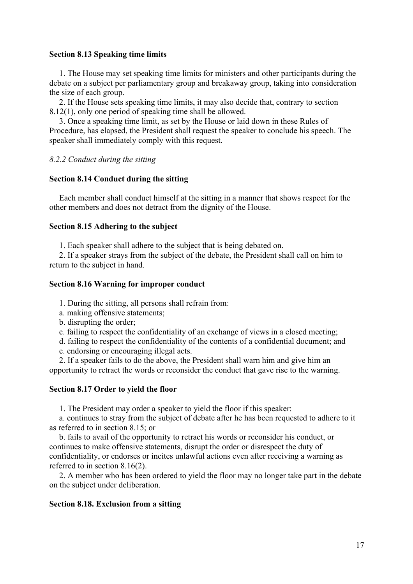## **Section 8.13 Speaking time limits**

 1. The House may set speaking time limits for ministers and other participants during the debate on a subject per parliamentary group and breakaway group, taking into consideration the size of each group.

 2. If the House sets speaking time limits, it may also decide that, contrary to section 8.12(1), only one period of speaking time shall be allowed.

 3. Once a speaking time limit, as set by the House or laid down in these Rules of Procedure, has elapsed, the President shall request the speaker to conclude his speech. The speaker shall immediately comply with this request.

# *8.2.2 Conduct during the sitting*

# **Section 8.14 Conduct during the sitting**

 Each member shall conduct himself at the sitting in a manner that shows respect for the other members and does not detract from the dignity of the House.

# **Section 8.15 Adhering to the subject**

1. Each speaker shall adhere to the subject that is being debated on.

 2. If a speaker strays from the subject of the debate, the President shall call on him to return to the subject in hand.

# **Section 8.16 Warning for improper conduct**

1. During the sitting, all persons shall refrain from:

a. making offensive statements;

b. disrupting the order;

c. failing to respect the confidentiality of an exchange of views in a closed meeting;

- d. failing to respect the confidentiality of the contents of a confidential document; and
- e. endorsing or encouraging illegal acts.

 2. If a speaker fails to do the above, the President shall warn him and give him an opportunity to retract the words or reconsider the conduct that gave rise to the warning.

# **Section 8.17 Order to yield the floor**

1. The President may order a speaker to yield the floor if this speaker:

 a. continues to stray from the subject of debate after he has been requested to adhere to it as referred to in section 8.15; or

 b. fails to avail of the opportunity to retract his words or reconsider his conduct, or continues to make offensive statements, disrupt the order or disrespect the duty of confidentiality, or endorses or incites unlawful actions even after receiving a warning as referred to in section 8.16(2).

 2. A member who has been ordered to yield the floor may no longer take part in the debate on the subject under deliberation.

# **Section 8.18. Exclusion from a sitting**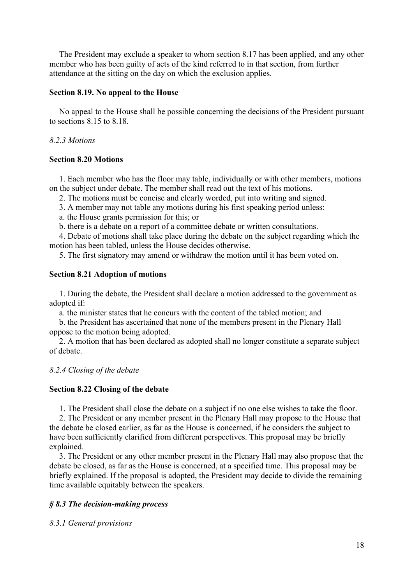The President may exclude a speaker to whom section 8.17 has been applied, and any other member who has been guilty of acts of the kind referred to in that section, from further attendance at the sitting on the day on which the exclusion applies.

# **Section 8.19. No appeal to the House**

 No appeal to the House shall be possible concerning the decisions of the President pursuant to sections 8.15 to 8.18.

# *8.2.3 Motions*

# **Section 8.20 Motions**

 1. Each member who has the floor may table, individually or with other members, motions on the subject under debate. The member shall read out the text of his motions.

2. The motions must be concise and clearly worded, put into writing and signed.

3. A member may not table any motions during his first speaking period unless:

a. the House grants permission for this; or

b. there is a debate on a report of a committee debate or written consultations.

 4. Debate of motions shall take place during the debate on the subject regarding which the motion has been tabled, unless the House decides otherwise.

5. The first signatory may amend or withdraw the motion until it has been voted on.

# **Section 8.21 Adoption of motions**

 1. During the debate, the President shall declare a motion addressed to the government as adopted if:

a. the minister states that he concurs with the content of the tabled motion; and

 b. the President has ascertained that none of the members present in the Plenary Hall oppose to the motion being adopted.

 2. A motion that has been declared as adopted shall no longer constitute a separate subject of debate.

# *8.2.4 Closing of the debate*

# **Section 8.22 Closing of the debate**

1. The President shall close the debate on a subject if no one else wishes to take the floor.

 2. The President or any member present in the Plenary Hall may propose to the House that the debate be closed earlier, as far as the House is concerned, if he considers the subject to have been sufficiently clarified from different perspectives. This proposal may be briefly explained.

 3. The President or any other member present in the Plenary Hall may also propose that the debate be closed, as far as the House is concerned, at a specified time. This proposal may be briefly explained. If the proposal is adopted, the President may decide to divide the remaining time available equitably between the speakers.

# *§ 8.3 The decision-making process*

*8.3.1 General provisions*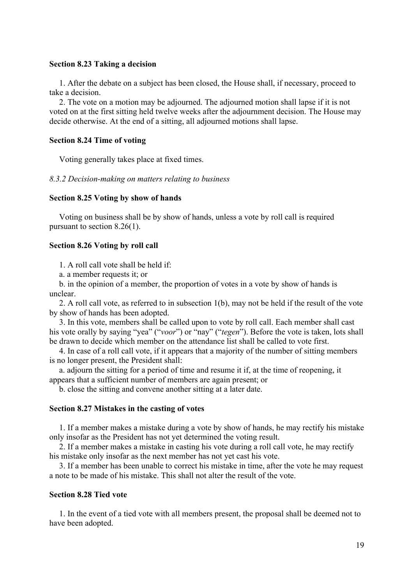## **Section 8.23 Taking a decision**

 1. After the debate on a subject has been closed, the House shall, if necessary, proceed to take a decision.

 2. The vote on a motion may be adjourned. The adjourned motion shall lapse if it is not voted on at the first sitting held twelve weeks after the adjournment decision. The House may decide otherwise. At the end of a sitting, all adjourned motions shall lapse.

## **Section 8.24 Time of voting**

Voting generally takes place at fixed times.

## *8.3.2 Decision-making on matters relating to business*

#### **Section 8.25 Voting by show of hands**

 Voting on business shall be by show of hands, unless a vote by roll call is required pursuant to section 8.26(1).

#### **Section 8.26 Voting by roll call**

1. A roll call vote shall be held if:

a. a member requests it; or

 b. in the opinion of a member, the proportion of votes in a vote by show of hands is unclear.

 2. A roll call vote, as referred to in subsection 1(b), may not be held if the result of the vote by show of hands has been adopted.

 3. In this vote, members shall be called upon to vote by roll call. Each member shall cast his vote orally by saying "yea" ("*voor*") or "nay" ("*tegen*"). Before the vote is taken, lots shall be drawn to decide which member on the attendance list shall be called to vote first.

 4. In case of a roll call vote, if it appears that a majority of the number of sitting members is no longer present, the President shall:

 a. adjourn the sitting for a period of time and resume it if, at the time of reopening, it appears that a sufficient number of members are again present; or

b. close the sitting and convene another sitting at a later date.

#### **Section 8.27 Mistakes in the casting of votes**

 1. If a member makes a mistake during a vote by show of hands, he may rectify his mistake only insofar as the President has not yet determined the voting result.

 2. If a member makes a mistake in casting his vote during a roll call vote, he may rectify his mistake only insofar as the next member has not yet cast his vote.

 3. If a member has been unable to correct his mistake in time, after the vote he may request a note to be made of his mistake. This shall not alter the result of the vote.

# **Section 8.28 Tied vote**

 1. In the event of a tied vote with all members present, the proposal shall be deemed not to have been adopted.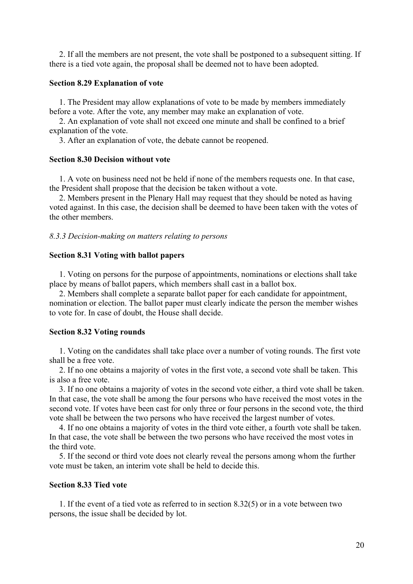2. If all the members are not present, the vote shall be postponed to a subsequent sitting. If there is a tied vote again, the proposal shall be deemed not to have been adopted.

#### **Section 8.29 Explanation of vote**

 1. The President may allow explanations of vote to be made by members immediately before a vote. After the vote, any member may make an explanation of vote.

 2. An explanation of vote shall not exceed one minute and shall be confined to a brief explanation of the vote.

3. After an explanation of vote, the debate cannot be reopened.

# **Section 8.30 Decision without vote**

 1. A vote on business need not be held if none of the members requests one. In that case, the President shall propose that the decision be taken without a vote.

 2. Members present in the Plenary Hall may request that they should be noted as having voted against. In this case, the decision shall be deemed to have been taken with the votes of the other members.

#### *8.3.3 Decision-making on matters relating to persons*

#### **Section 8.31 Voting with ballot papers**

 1. Voting on persons for the purpose of appointments, nominations or elections shall take place by means of ballot papers, which members shall cast in a ballot box.

 2. Members shall complete a separate ballot paper for each candidate for appointment, nomination or election. The ballot paper must clearly indicate the person the member wishes to vote for. In case of doubt, the House shall decide.

#### **Section 8.32 Voting rounds**

 1. Voting on the candidates shall take place over a number of voting rounds. The first vote shall be a free vote.

 2. If no one obtains a majority of votes in the first vote, a second vote shall be taken. This is also a free vote.

 3. If no one obtains a majority of votes in the second vote either, a third vote shall be taken. In that case, the vote shall be among the four persons who have received the most votes in the second vote. If votes have been cast for only three or four persons in the second vote, the third vote shall be between the two persons who have received the largest number of votes.

 4. If no one obtains a majority of votes in the third vote either, a fourth vote shall be taken. In that case, the vote shall be between the two persons who have received the most votes in the third vote.

 5. If the second or third vote does not clearly reveal the persons among whom the further vote must be taken, an interim vote shall be held to decide this.

#### **Section 8.33 Tied vote**

 1. If the event of a tied vote as referred to in section 8.32(5) or in a vote between two persons, the issue shall be decided by lot.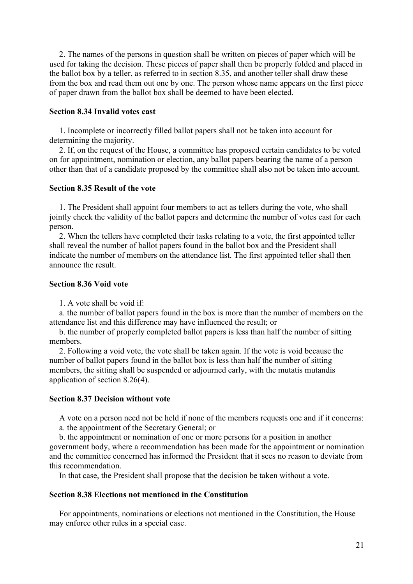2. The names of the persons in question shall be written on pieces of paper which will be used for taking the decision. These pieces of paper shall then be properly folded and placed in the ballot box by a teller, as referred to in section 8.35, and another teller shall draw these from the box and read them out one by one. The person whose name appears on the first piece of paper drawn from the ballot box shall be deemed to have been elected.

# **Section 8.34 Invalid votes cast**

 1. Incomplete or incorrectly filled ballot papers shall not be taken into account for determining the majority.

 2. If, on the request of the House, a committee has proposed certain candidates to be voted on for appointment, nomination or election, any ballot papers bearing the name of a person other than that of a candidate proposed by the committee shall also not be taken into account.

## **Section 8.35 Result of the vote**

 1. The President shall appoint four members to act as tellers during the vote, who shall jointly check the validity of the ballot papers and determine the number of votes cast for each person.

 2. When the tellers have completed their tasks relating to a vote, the first appointed teller shall reveal the number of ballot papers found in the ballot box and the President shall indicate the number of members on the attendance list. The first appointed teller shall then announce the result.

# **Section 8.36 Void vote**

1. A vote shall be void if:

 a. the number of ballot papers found in the box is more than the number of members on the attendance list and this difference may have influenced the result; or

 b. the number of properly completed ballot papers is less than half the number of sitting members.

 2. Following a void vote, the vote shall be taken again. If the vote is void because the number of ballot papers found in the ballot box is less than half the number of sitting members, the sitting shall be suspended or adjourned early, with the mutatis mutandis application of section 8.26(4).

## **Section 8.37 Decision without vote**

 A vote on a person need not be held if none of the members requests one and if it concerns: a. the appointment of the Secretary General; or

b. the appointment or nomination of one or more persons for a position in another

government body, where a recommendation has been made for the appointment or nomination and the committee concerned has informed the President that it sees no reason to deviate from this recommendation.

In that case, the President shall propose that the decision be taken without a vote.

#### **Section 8.38 Elections not mentioned in the Constitution**

 For appointments, nominations or elections not mentioned in the Constitution, the House may enforce other rules in a special case.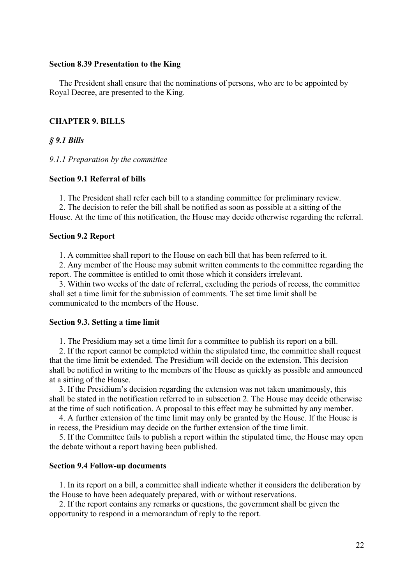## **Section 8.39 Presentation to the King**

 The President shall ensure that the nominations of persons, who are to be appointed by Royal Decree, are presented to the King.

#### **CHAPTER 9. BILLS**

*§ 9.1 Bills* 

*9.1.1 Preparation by the committee* 

## **Section 9.1 Referral of bills**

1. The President shall refer each bill to a standing committee for preliminary review.

 2. The decision to refer the bill shall be notified as soon as possible at a sitting of the House. At the time of this notification, the House may decide otherwise regarding the referral.

#### **Section 9.2 Report**

1. A committee shall report to the House on each bill that has been referred to it.

 2. Any member of the House may submit written comments to the committee regarding the report. The committee is entitled to omit those which it considers irrelevant.

 3. Within two weeks of the date of referral, excluding the periods of recess, the committee shall set a time limit for the submission of comments. The set time limit shall be communicated to the members of the House.

#### **Section 9.3. Setting a time limit**

1. The Presidium may set a time limit for a committee to publish its report on a bill.

 2. If the report cannot be completed within the stipulated time, the committee shall request that the time limit be extended. The Presidium will decide on the extension. This decision shall be notified in writing to the members of the House as quickly as possible and announced at a sitting of the House.

 3. If the Presidium's decision regarding the extension was not taken unanimously, this shall be stated in the notification referred to in subsection 2. The House may decide otherwise at the time of such notification. A proposal to this effect may be submitted by any member.

 4. A further extension of the time limit may only be granted by the House. If the House is in recess, the Presidium may decide on the further extension of the time limit.

 5. If the Committee fails to publish a report within the stipulated time, the House may open the debate without a report having been published.

## **Section 9.4 Follow-up documents**

 1. In its report on a bill, a committee shall indicate whether it considers the deliberation by the House to have been adequately prepared, with or without reservations.

 2. If the report contains any remarks or questions, the government shall be given the opportunity to respond in a memorandum of reply to the report.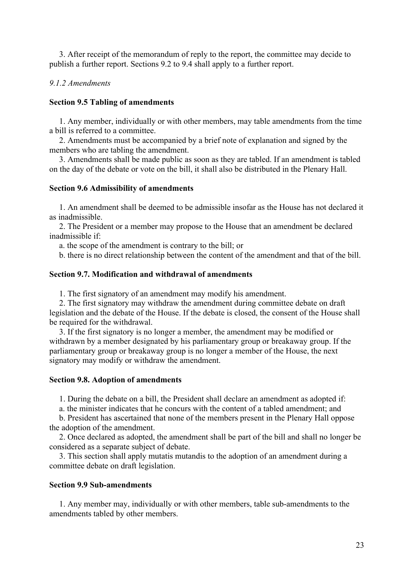3. After receipt of the memorandum of reply to the report, the committee may decide to publish a further report. Sections 9.2 to 9.4 shall apply to a further report.

# *9.1.2 Amendments*

# **Section 9.5 Tabling of amendments**

 1. Any member, individually or with other members, may table amendments from the time a bill is referred to a committee.

 2. Amendments must be accompanied by a brief note of explanation and signed by the members who are tabling the amendment.

 3. Amendments shall be made public as soon as they are tabled. If an amendment is tabled on the day of the debate or vote on the bill, it shall also be distributed in the Plenary Hall.

## **Section 9.6 Admissibility of amendments**

 1. An amendment shall be deemed to be admissible insofar as the House has not declared it as inadmissible.

 2. The President or a member may propose to the House that an amendment be declared inadmissible if:

a. the scope of the amendment is contrary to the bill; or

b. there is no direct relationship between the content of the amendment and that of the bill.

## **Section 9.7. Modification and withdrawal of amendments**

1. The first signatory of an amendment may modify his amendment.

 2. The first signatory may withdraw the amendment during committee debate on draft legislation and the debate of the House. If the debate is closed, the consent of the House shall be required for the withdrawal.

 3. If the first signatory is no longer a member, the amendment may be modified or withdrawn by a member designated by his parliamentary group or breakaway group. If the parliamentary group or breakaway group is no longer a member of the House, the next signatory may modify or withdraw the amendment.

# **Section 9.8. Adoption of amendments**

1. During the debate on a bill, the President shall declare an amendment as adopted if:

a. the minister indicates that he concurs with the content of a tabled amendment; and

 b. President has ascertained that none of the members present in the Plenary Hall oppose the adoption of the amendment.

 2. Once declared as adopted, the amendment shall be part of the bill and shall no longer be considered as a separate subject of debate.

 3. This section shall apply mutatis mutandis to the adoption of an amendment during a committee debate on draft legislation.

#### **Section 9.9 Sub-amendments**

 1. Any member may, individually or with other members, table sub-amendments to the amendments tabled by other members.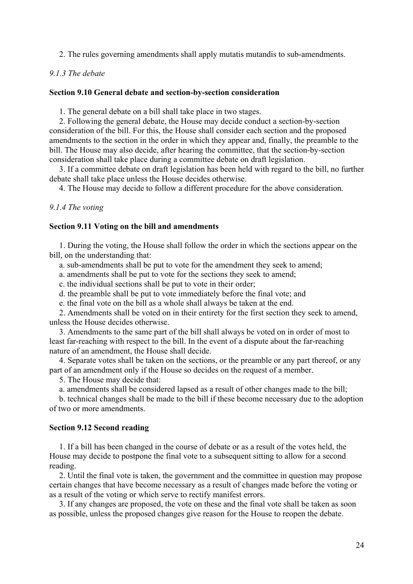2. The rules governing amendments shall apply mutatis mutandis to sub-amendments.

## *9.1.3 The debate*

#### **Section 9.10 General debate and section-by-section consideration**

1. The general debate on a bill shall take place in two stages.

2. Following the general debate, the House may decide conduct a section-by-section consideration of the bill. For this, the House shall consider each section and the proposed amendments to the section in the order in which they appear and, finally, the preamble to the bill. The House may also decide, after hearing the committee, that the section-by-section consideration shall take place during a committee debate on draft legislation.

 3. If a committee debate on draft legislation has been held with regard to the bill, no further debate shall take place unless the House decides otherwise.

4. The House may decide to follow a different procedure for the above consideration.

*9.1.4 The voting* 

#### **Section 9.11 Voting on the bill and amendments**

 1. During the voting, the House shall follow the order in which the sections appear on the bill, on the understanding that:

a. sub-amendments shall be put to vote for the amendment they seek to amend;

a. amendments shall be put to vote for the sections they seek to amend;

c. the individual sections shall be put to vote in their order;

d. the preamble shall be put to vote immediately before the final vote; and

e. the final vote on the bill as a whole shall always be taken at the end.

 2. Amendments shall be voted on in their entirety for the first section they seek to amend, unless the House decides otherwise.

 3. Amendments to the same part of the bill shall always be voted on in order of most to least far-reaching with respect to the bill. In the event of a dispute about the far-reaching nature of an amendment, the House shall decide.

 4. Separate votes shall be taken on the sections, or the preamble or any part thereof, or any part of an amendment only if the House so decides on the request of a member.

5. The House may decide that:

a. amendments shall be considered lapsed as a result of other changes made to the bill;

 b. technical changes shall be made to the bill if these become necessary due to the adoption of two or more amendments.

#### **Section 9.12 Second reading**

 1. If a bill has been changed in the course of debate or as a result of the votes held, the House may decide to postpone the final vote to a subsequent sitting to allow for a second reading.

 2. Until the final vote is taken, the government and the committee in question may propose certain changes that have become necessary as a result of changes made before the voting or as a result of the voting or which serve to rectify manifest errors.

 3. If any changes are proposed, the vote on these and the final vote shall be taken as soon as possible, unless the proposed changes give reason for the House to reopen the debate.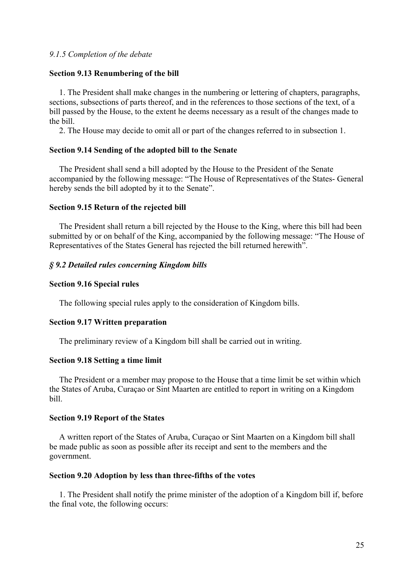## *9.1.5 Completion of the debate*

#### **Section 9.13 Renumbering of the bill**

 1. The President shall make changes in the numbering or lettering of chapters, paragraphs, sections, subsections of parts thereof, and in the references to those sections of the text, of a bill passed by the House, to the extent he deems necessary as a result of the changes made to the bill.

2. The House may decide to omit all or part of the changes referred to in subsection 1.

#### **Section 9.14 Sending of the adopted bill to the Senate**

 The President shall send a bill adopted by the House to the President of the Senate accompanied by the following message: "The House of Representatives of the States- General hereby sends the bill adopted by it to the Senate".

#### **Section 9.15 Return of the rejected bill**

 The President shall return a bill rejected by the House to the King, where this bill had been submitted by or on behalf of the King, accompanied by the following message: "The House of Representatives of the States General has rejected the bill returned herewith".

## *§ 9.2 Detailed rules concerning Kingdom bills*

## **Section 9.16 Special rules**

The following special rules apply to the consideration of Kingdom bills.

#### **Section 9.17 Written preparation**

The preliminary review of a Kingdom bill shall be carried out in writing.

#### **Section 9.18 Setting a time limit**

 The President or a member may propose to the House that a time limit be set within which the States of Aruba, Curaçao or Sint Maarten are entitled to report in writing on a Kingdom bill.

#### **Section 9.19 Report of the States**

 A written report of the States of Aruba, Curaçao or Sint Maarten on a Kingdom bill shall be made public as soon as possible after its receipt and sent to the members and the government.

#### **Section 9.20 Adoption by less than three-fifths of the votes**

 1. The President shall notify the prime minister of the adoption of a Kingdom bill if, before the final vote, the following occurs: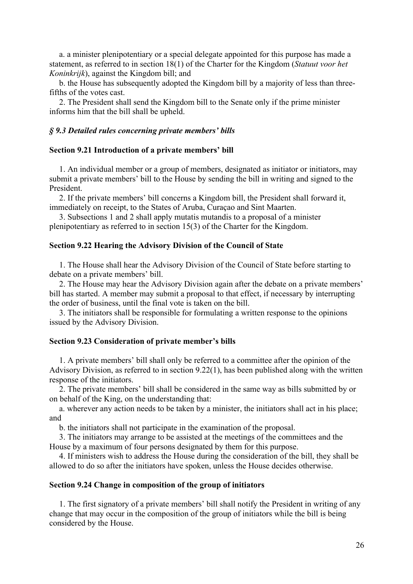a. a minister plenipotentiary or a special delegate appointed for this purpose has made a statement, as referred to in section 18(1) of the Charter for the Kingdom (*Statuut voor het Koninkrijk*), against the Kingdom bill; and

 b. the House has subsequently adopted the Kingdom bill by a majority of less than threefifths of the votes cast.

 2. The President shall send the Kingdom bill to the Senate only if the prime minister informs him that the bill shall be upheld.

## *§ 9.3 Detailed rules concerning private members' bills*

#### **Section 9.21 Introduction of a private members' bill**

 1. An individual member or a group of members, designated as initiator or initiators, may submit a private members' bill to the House by sending the bill in writing and signed to the President.

 2. If the private members' bill concerns a Kingdom bill, the President shall forward it, immediately on receipt, to the States of Aruba, Curaçao and Sint Maarten.

 3. Subsections 1 and 2 shall apply mutatis mutandis to a proposal of a minister plenipotentiary as referred to in section 15(3) of the Charter for the Kingdom.

#### **Section 9.22 Hearing the Advisory Division of the Council of State**

 1. The House shall hear the Advisory Division of the Council of State before starting to debate on a private members' bill.

 2. The House may hear the Advisory Division again after the debate on a private members' bill has started. A member may submit a proposal to that effect, if necessary by interrupting the order of business, until the final vote is taken on the bill.

 3. The initiators shall be responsible for formulating a written response to the opinions issued by the Advisory Division.

#### **Section 9.23 Consideration of private member's bills**

 1. A private members' bill shall only be referred to a committee after the opinion of the Advisory Division, as referred to in section 9.22(1), has been published along with the written response of the initiators.

 2. The private members' bill shall be considered in the same way as bills submitted by or on behalf of the King, on the understanding that:

 a. wherever any action needs to be taken by a minister, the initiators shall act in his place; and

b. the initiators shall not participate in the examination of the proposal.

 3. The initiators may arrange to be assisted at the meetings of the committees and the House by a maximum of four persons designated by them for this purpose.

 4. If ministers wish to address the House during the consideration of the bill, they shall be allowed to do so after the initiators have spoken, unless the House decides otherwise.

#### **Section 9.24 Change in composition of the group of initiators**

 1. The first signatory of a private members' bill shall notify the President in writing of any change that may occur in the composition of the group of initiators while the bill is being considered by the House.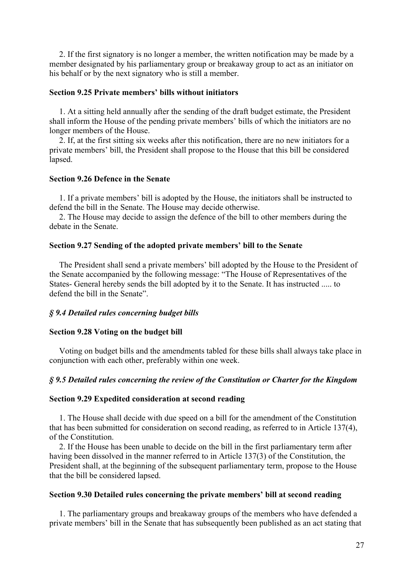2. If the first signatory is no longer a member, the written notification may be made by a member designated by his parliamentary group or breakaway group to act as an initiator on his behalf or by the next signatory who is still a member.

## **Section 9.25 Private members' bills without initiators**

 1. At a sitting held annually after the sending of the draft budget estimate, the President shall inform the House of the pending private members' bills of which the initiators are no longer members of the House.

 2. If, at the first sitting six weeks after this notification, there are no new initiators for a private members' bill, the President shall propose to the House that this bill be considered lapsed.

# **Section 9.26 Defence in the Senate**

 1. If a private members' bill is adopted by the House, the initiators shall be instructed to defend the bill in the Senate. The House may decide otherwise.

 2. The House may decide to assign the defence of the bill to other members during the debate in the Senate.

# **Section 9.27 Sending of the adopted private members' bill to the Senate**

 The President shall send a private members' bill adopted by the House to the President of the Senate accompanied by the following message: "The House of Representatives of the States- General hereby sends the bill adopted by it to the Senate. It has instructed ..... to defend the bill in the Senate".

# *§ 9.4 Detailed rules concerning budget bills*

# **Section 9.28 Voting on the budget bill**

 Voting on budget bills and the amendments tabled for these bills shall always take place in conjunction with each other, preferably within one week.

# *§ 9.5 Detailed rules concerning the review of the Constitution or Charter for the Kingdom*

#### **Section 9.29 Expedited consideration at second reading**

 1. The House shall decide with due speed on a bill for the amendment of the Constitution that has been submitted for consideration on second reading, as referred to in Article 137(4), of the Constitution.

 2. If the House has been unable to decide on the bill in the first parliamentary term after having been dissolved in the manner referred to in Article 137(3) of the Constitution, the President shall, at the beginning of the subsequent parliamentary term, propose to the House that the bill be considered lapsed.

#### **Section 9.30 Detailed rules concerning the private members' bill at second reading**

 1. The parliamentary groups and breakaway groups of the members who have defended a private members' bill in the Senate that has subsequently been published as an act stating that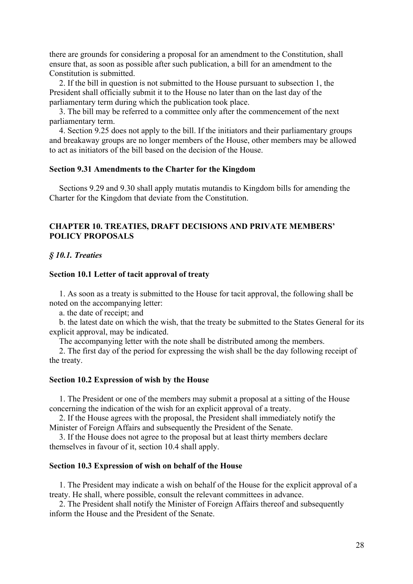there are grounds for considering a proposal for an amendment to the Constitution, shall ensure that, as soon as possible after such publication, a bill for an amendment to the Constitution is submitted.

 2. If the bill in question is not submitted to the House pursuant to subsection 1, the President shall officially submit it to the House no later than on the last day of the parliamentary term during which the publication took place.

 3. The bill may be referred to a committee only after the commencement of the next parliamentary term.

4. Section 9.25 does not apply to the bill. If the initiators and their parliamentary groups and breakaway groups are no longer members of the House, other members may be allowed to act as initiators of the bill based on the decision of the House.

## **Section 9.31 Amendments to the Charter for the Kingdom**

 Sections 9.29 and 9.30 shall apply mutatis mutandis to Kingdom bills for amending the Charter for the Kingdom that deviate from the Constitution.

# **CHAPTER 10. TREATIES, DRAFT DECISIONS AND PRIVATE MEMBERS' POLICY PROPOSALS**

## *§ 10.1. Treaties*

#### **Section 10.1 Letter of tacit approval of treaty**

 1. As soon as a treaty is submitted to the House for tacit approval, the following shall be noted on the accompanying letter:

a. the date of receipt; and

 b. the latest date on which the wish, that the treaty be submitted to the States General for its explicit approval, may be indicated.

The accompanying letter with the note shall be distributed among the members.

 2. The first day of the period for expressing the wish shall be the day following receipt of the treaty.

#### **Section 10.2 Expression of wish by the House**

 1. The President or one of the members may submit a proposal at a sitting of the House concerning the indication of the wish for an explicit approval of a treaty.

 2. If the House agrees with the proposal, the President shall immediately notify the Minister of Foreign Affairs and subsequently the President of the Senate.

 3. If the House does not agree to the proposal but at least thirty members declare themselves in favour of it, section 10.4 shall apply.

# **Section 10.3 Expression of wish on behalf of the House**

 1. The President may indicate a wish on behalf of the House for the explicit approval of a treaty. He shall, where possible, consult the relevant committees in advance.

 2. The President shall notify the Minister of Foreign Affairs thereof and subsequently inform the House and the President of the Senate.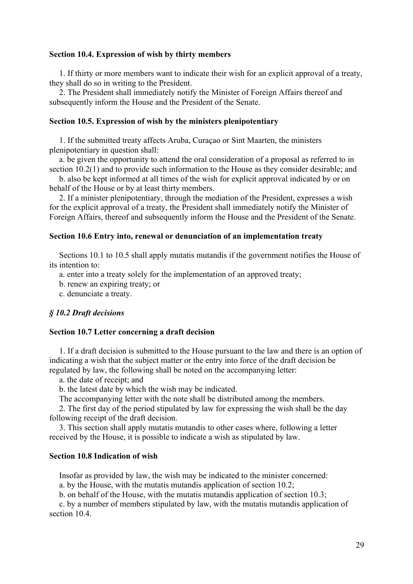#### **Section 10.4. Expression of wish by thirty members**

 1. If thirty or more members want to indicate their wish for an explicit approval of a treaty, they shall do so in writing to the President.

 2. The President shall immediately notify the Minister of Foreign Affairs thereof and subsequently inform the House and the President of the Senate.

#### **Section 10.5. Expression of wish by the ministers plenipotentiary**

 1. If the submitted treaty affects Aruba, Curaçao or Sint Maarten, the ministers plenipotentiary in question shall:

 a. be given the opportunity to attend the oral consideration of a proposal as referred to in section 10.2(1) and to provide such information to the House as they consider desirable; and

 b. also be kept informed at all times of the wish for explicit approval indicated by or on behalf of the House or by at least thirty members.

 2. If a minister plenipotentiary, through the mediation of the President, expresses a wish for the explicit approval of a treaty, the President shall immediately notify the Minister of Foreign Affairs, thereof and subsequently inform the House and the President of the Senate.

#### **Section 10.6 Entry into, renewal or denunciation of an implementation treaty**

 Sections 10.1 to 10.5 shall apply mutatis mutandis if the government notifies the House of its intention to:

a. enter into a treaty solely for the implementation of an approved treaty;

b. renew an expiring treaty; or

c. denunciate a treaty.

#### *§ 10.2 Draft decisions*

## **Section 10.7 Letter concerning a draft decision**

 1. If a draft decision is submitted to the House pursuant to the law and there is an option of indicating a wish that the subject matter or the entry into force of the draft decision be regulated by law, the following shall be noted on the accompanying letter:

a. the date of receipt; and

b. the latest date by which the wish may be indicated.

The accompanying letter with the note shall be distributed among the members.

 2. The first day of the period stipulated by law for expressing the wish shall be the day following receipt of the draft decision.

 3. This section shall apply mutatis mutandis to other cases where, following a letter received by the House, it is possible to indicate a wish as stipulated by law.

#### **Section 10.8 Indication of wish**

Insofar as provided by law, the wish may be indicated to the minister concerned:

a. by the House, with the mutatis mutandis application of section 10.2;

b. on behalf of the House, with the mutatis mutandis application of section 10.3;

 c. by a number of members stipulated by law, with the mutatis mutandis application of section 10.4.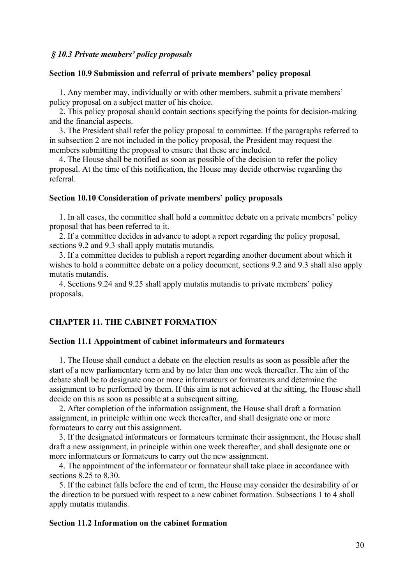#### *§ 10.3 Private members' policy proposals*

# **Section 10.9 Submission and referral of private members' policy proposal**

 1. Any member may, individually or with other members, submit a private members' policy proposal on a subject matter of his choice.

 2. This policy proposal should contain sections specifying the points for decision-making and the financial aspects.

 3. The President shall refer the policy proposal to committee. If the paragraphs referred to in subsection 2 are not included in the policy proposal, the President may request the members submitting the proposal to ensure that these are included.

 4. The House shall be notified as soon as possible of the decision to refer the policy proposal. At the time of this notification, the House may decide otherwise regarding the referral.

#### **Section 10.10 Consideration of private members' policy proposals**

 1. In all cases, the committee shall hold a committee debate on a private members' policy proposal that has been referred to it.

 2. If a committee decides in advance to adopt a report regarding the policy proposal, sections 9.2 and 9.3 shall apply mutatis mutandis.

 3. If a committee decides to publish a report regarding another document about which it wishes to hold a committee debate on a policy document, sections 9.2 and 9.3 shall also apply mutatis mutandis.

 4. Sections 9.24 and 9.25 shall apply mutatis mutandis to private members' policy proposals.

# **CHAPTER 11. THE CABINET FORMATION**

### **Section 11.1 Appointment of cabinet informateurs and formateurs**

 1. The House shall conduct a debate on the election results as soon as possible after the start of a new parliamentary term and by no later than one week thereafter. The aim of the debate shall be to designate one or more informateurs or formateurs and determine the assignment to be performed by them. If this aim is not achieved at the sitting, the House shall decide on this as soon as possible at a subsequent sitting.

 2. After completion of the information assignment, the House shall draft a formation assignment, in principle within one week thereafter, and shall designate one or more formateurs to carry out this assignment.

 3. If the designated informateurs or formateurs terminate their assignment, the House shall draft a new assignment, in principle within one week thereafter, and shall designate one or more informateurs or formateurs to carry out the new assignment.

 4. The appointment of the informateur or formateur shall take place in accordance with sections 8.25 to 8.30.

 5. If the cabinet falls before the end of term, the House may consider the desirability of or the direction to be pursued with respect to a new cabinet formation. Subsections 1 to 4 shall apply mutatis mutandis.

# **Section 11.2 Information on the cabinet formation**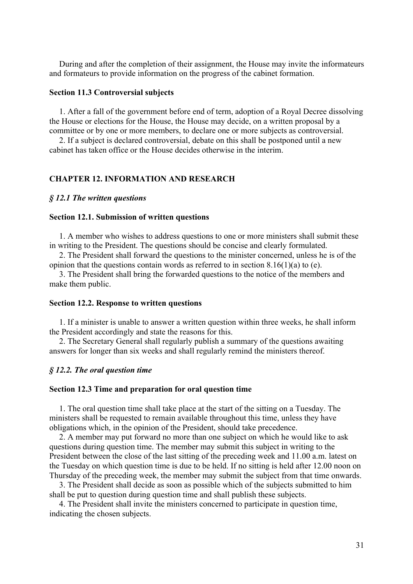During and after the completion of their assignment, the House may invite the informateurs and formateurs to provide information on the progress of the cabinet formation.

#### **Section 11.3 Controversial subjects**

 1. After a fall of the government before end of term, adoption of a Royal Decree dissolving the House or elections for the House, the House may decide, on a written proposal by a committee or by one or more members, to declare one or more subjects as controversial.

 2. If a subject is declared controversial, debate on this shall be postponed until a new cabinet has taken office or the House decides otherwise in the interim.

#### **CHAPTER 12. INFORMATION AND RESEARCH**

#### *§ 12.1 The written questions*

#### **Section 12.1. Submission of written questions**

1. A member who wishes to address questions to one or more ministers shall submit these in writing to the President. The questions should be concise and clearly formulated.

 2. The President shall forward the questions to the minister concerned, unless he is of the opinion that the questions contain words as referred to in section  $8.16(1)(a)$  to (e).

 3. The President shall bring the forwarded questions to the notice of the members and make them public.

#### **Section 12.2. Response to written questions**

 1. If a minister is unable to answer a written question within three weeks, he shall inform the President accordingly and state the reasons for this.

 2. The Secretary General shall regularly publish a summary of the questions awaiting answers for longer than six weeks and shall regularly remind the ministers thereof.

#### *§ 12.2. The oral question time*

#### **Section 12.3 Time and preparation for oral question time**

 1. The oral question time shall take place at the start of the sitting on a Tuesday. The ministers shall be requested to remain available throughout this time, unless they have obligations which, in the opinion of the President, should take precedence.

 2. A member may put forward no more than one subject on which he would like to ask questions during question time. The member may submit this subject in writing to the President between the close of the last sitting of the preceding week and 11.00 a.m. latest on the Tuesday on which question time is due to be held. If no sitting is held after 12.00 noon on Thursday of the preceding week, the member may submit the subject from that time onwards.

 3. The President shall decide as soon as possible which of the subjects submitted to him shall be put to question during question time and shall publish these subjects.

 4. The President shall invite the ministers concerned to participate in question time, indicating the chosen subjects.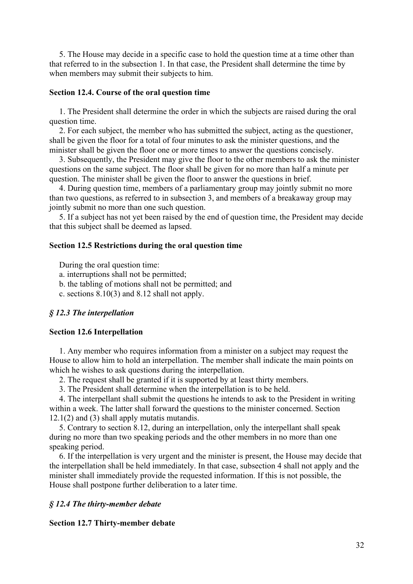5. The House may decide in a specific case to hold the question time at a time other than that referred to in the subsection 1. In that case, the President shall determine the time by when members may submit their subjects to him.

#### **Section 12.4. Course of the oral question time**

 1. The President shall determine the order in which the subjects are raised during the oral question time.

 2. For each subject, the member who has submitted the subject, acting as the questioner, shall be given the floor for a total of four minutes to ask the minister questions, and the minister shall be given the floor one or more times to answer the questions concisely.

 3. Subsequently, the President may give the floor to the other members to ask the minister questions on the same subject. The floor shall be given for no more than half a minute per question. The minister shall be given the floor to answer the questions in brief.

 4. During question time, members of a parliamentary group may jointly submit no more than two questions, as referred to in subsection 3, and members of a breakaway group may jointly submit no more than one such question.

 5. If a subject has not yet been raised by the end of question time, the President may decide that this subject shall be deemed as lapsed.

# **Section 12.5 Restrictions during the oral question time**

During the oral question time:

a. interruptions shall not be permitted;

b. the tabling of motions shall not be permitted; and

c. sections 8.10(3) and 8.12 shall not apply.

#### *§ 12.3 The interpellation*

## **Section 12.6 Interpellation**

 1. Any member who requires information from a minister on a subject may request the House to allow him to hold an interpellation. The member shall indicate the main points on which he wishes to ask questions during the interpellation.

2. The request shall be granted if it is supported by at least thirty members.

3. The President shall determine when the interpellation is to be held.

 4. The interpellant shall submit the questions he intends to ask to the President in writing within a week. The latter shall forward the questions to the minister concerned. Section  $12.1(2)$  and  $(3)$  shall apply mutatis mutandis.

 5. Contrary to section 8.12, during an interpellation, only the interpellant shall speak during no more than two speaking periods and the other members in no more than one speaking period.

 6. If the interpellation is very urgent and the minister is present, the House may decide that the interpellation shall be held immediately. In that case, subsection 4 shall not apply and the minister shall immediately provide the requested information. If this is not possible, the House shall postpone further deliberation to a later time.

## *§ 12.4 The thirty-member debate*

#### **Section 12.7 Thirty-member debate**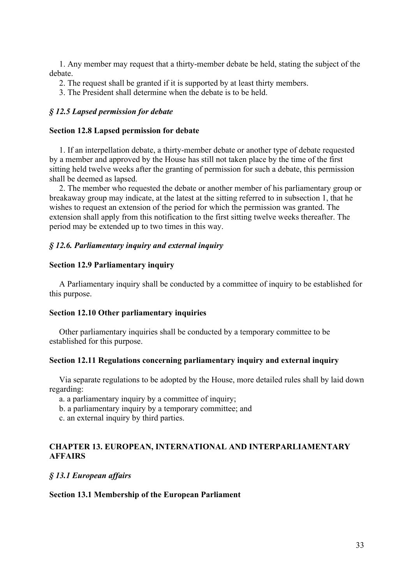1. Any member may request that a thirty-member debate be held, stating the subject of the debate.

- 2. The request shall be granted if it is supported by at least thirty members.
- 3. The President shall determine when the debate is to be held.

## *§ 12.5 Lapsed permission for debate*

#### **Section 12.8 Lapsed permission for debate**

1. If an interpellation debate, a thirty-member debate or another type of debate requested by a member and approved by the House has still not taken place by the time of the first sitting held twelve weeks after the granting of permission for such a debate, this permission shall be deemed as lapsed.

2. The member who requested the debate or another member of his parliamentary group or breakaway group may indicate, at the latest at the sitting referred to in subsection 1, that he wishes to request an extension of the period for which the permission was granted. The extension shall apply from this notification to the first sitting twelve weeks thereafter. The period may be extended up to two times in this way.

## *§ 12.6. Parliamentary inquiry and external inquiry*

## **Section 12.9 Parliamentary inquiry**

 A Parliamentary inquiry shall be conducted by a committee of inquiry to be established for this purpose.

#### **Section 12.10 Other parliamentary inquiries**

 Other parliamentary inquiries shall be conducted by a temporary committee to be established for this purpose.

# **Section 12.11 Regulations concerning parliamentary inquiry and external inquiry**

 Via separate regulations to be adopted by the House, more detailed rules shall by laid down regarding:

a. a parliamentary inquiry by a committee of inquiry;

b. a parliamentary inquiry by a temporary committee; and

c. an external inquiry by third parties.

# **CHAPTER 13. EUROPEAN, INTERNATIONAL AND INTERPARLIAMENTARY AFFAIRS**

## *§ 13.1 European affairs*

#### **Section 13.1 Membership of the European Parliament**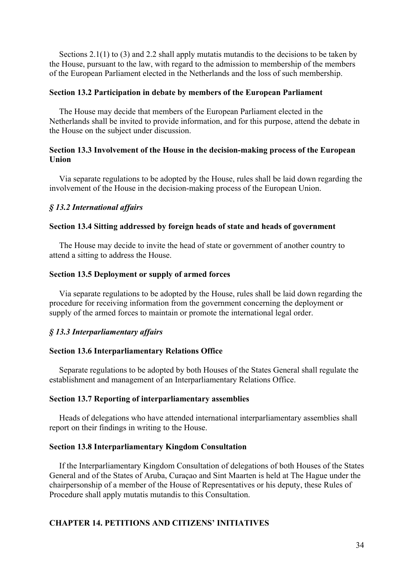Sections 2.1(1) to (3) and 2.2 shall apply mutatis mutandis to the decisions to be taken by the House, pursuant to the law, with regard to the admission to membership of the members of the European Parliament elected in the Netherlands and the loss of such membership.

## **Section 13.2 Participation in debate by members of the European Parliament**

 The House may decide that members of the European Parliament elected in the Netherlands shall be invited to provide information, and for this purpose, attend the debate in the House on the subject under discussion.

# **Section 13.3 Involvement of the House in the decision-making process of the European Union**

 Via separate regulations to be adopted by the House, rules shall be laid down regarding the involvement of the House in the decision-making process of the European Union.

## *§ 13.2 International affairs*

## **Section 13.4 Sitting addressed by foreign heads of state and heads of government**

The House may decide to invite the head of state or government of another country to attend a sitting to address the House.

## **Section 13.5 Deployment or supply of armed forces**

 Via separate regulations to be adopted by the House, rules shall be laid down regarding the procedure for receiving information from the government concerning the deployment or supply of the armed forces to maintain or promote the international legal order.

# *§ 13.3 Interparliamentary affairs*

#### **Section 13.6 Interparliamentary Relations Office**

 Separate regulations to be adopted by both Houses of the States General shall regulate the establishment and management of an Interparliamentary Relations Office.

#### **Section 13.7 Reporting of interparliamentary assemblies**

 Heads of delegations who have attended international interparliamentary assemblies shall report on their findings in writing to the House.

#### **Section 13.8 Interparliamentary Kingdom Consultation**

 If the Interparliamentary Kingdom Consultation of delegations of both Houses of the States General and of the States of Aruba, Curaçao and Sint Maarten is held at The Hague under the chairpersonship of a member of the House of Representatives or his deputy, these Rules of Procedure shall apply mutatis mutandis to this Consultation.

# **CHAPTER 14. PETITIONS AND CITIZENS' INITIATIVES**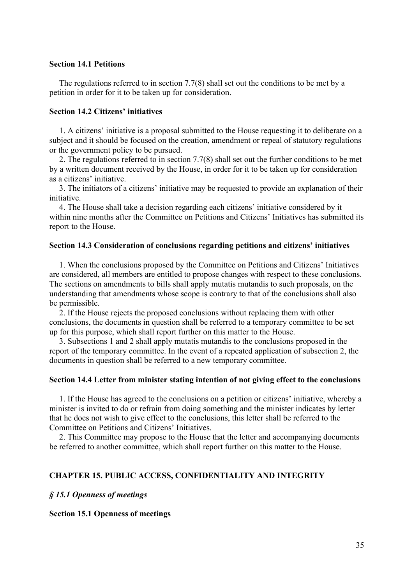#### **Section 14.1 Petitions**

 The regulations referred to in section 7.7(8) shall set out the conditions to be met by a petition in order for it to be taken up for consideration.

## **Section 14.2 Citizens' initiatives**

 1. A citizens' initiative is a proposal submitted to the House requesting it to deliberate on a subject and it should be focused on the creation, amendment or repeal of statutory regulations or the government policy to be pursued.

 2. The regulations referred to in section 7.7(8) shall set out the further conditions to be met by a written document received by the House, in order for it to be taken up for consideration as a citizens' initiative.

 3. The initiators of a citizens' initiative may be requested to provide an explanation of their initiative.

 4. The House shall take a decision regarding each citizens' initiative considered by it within nine months after the Committee on Petitions and Citizens' Initiatives has submitted its report to the House.

#### **Section 14.3 Consideration of conclusions regarding petitions and citizens' initiatives**

 1. When the conclusions proposed by the Committee on Petitions and Citizens' Initiatives are considered, all members are entitled to propose changes with respect to these conclusions. The sections on amendments to bills shall apply mutatis mutandis to such proposals, on the understanding that amendments whose scope is contrary to that of the conclusions shall also be permissible.

 2. If the House rejects the proposed conclusions without replacing them with other conclusions, the documents in question shall be referred to a temporary committee to be set up for this purpose, which shall report further on this matter to the House.

 3. Subsections 1 and 2 shall apply mutatis mutandis to the conclusions proposed in the report of the temporary committee. In the event of a repeated application of subsection 2, the documents in question shall be referred to a new temporary committee.

#### **Section 14.4 Letter from minister stating intention of not giving effect to the conclusions**

 1. If the House has agreed to the conclusions on a petition or citizens' initiative, whereby a minister is invited to do or refrain from doing something and the minister indicates by letter that he does not wish to give effect to the conclusions, this letter shall be referred to the Committee on Petitions and Citizens' Initiatives.

 2. This Committee may propose to the House that the letter and accompanying documents be referred to another committee, which shall report further on this matter to the House.

#### **CHAPTER 15. PUBLIC ACCESS, CONFIDENTIALITY AND INTEGRITY**

#### *§ 15.1 Openness of meetings*

## **Section 15.1 Openness of meetings**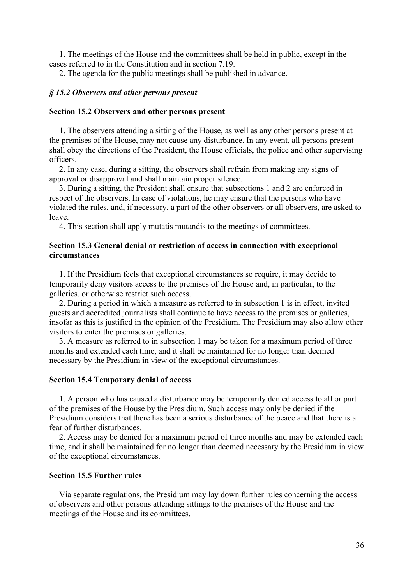1. The meetings of the House and the committees shall be held in public, except in the cases referred to in the Constitution and in section 7.19.

2. The agenda for the public meetings shall be published in advance.

#### *§ 15.2 Observers and other persons present*

#### **Section 15.2 Observers and other persons present**

 1. The observers attending a sitting of the House, as well as any other persons present at the premises of the House, may not cause any disturbance. In any event, all persons present shall obey the directions of the President, the House officials, the police and other supervising officers.

 2. In any case, during a sitting, the observers shall refrain from making any signs of approval or disapproval and shall maintain proper silence.

 3. During a sitting, the President shall ensure that subsections 1 and 2 are enforced in respect of the observers. In case of violations, he may ensure that the persons who have violated the rules, and, if necessary, a part of the other observers or all observers, are asked to leave.

4. This section shall apply mutatis mutandis to the meetings of committees.

# **Section 15.3 General denial or restriction of access in connection with exceptional circumstances**

 1. If the Presidium feels that exceptional circumstances so require, it may decide to temporarily deny visitors access to the premises of the House and, in particular, to the galleries, or otherwise restrict such access.

 2. During a period in which a measure as referred to in subsection 1 is in effect, invited guests and accredited journalists shall continue to have access to the premises or galleries, insofar as this is justified in the opinion of the Presidium. The Presidium may also allow other visitors to enter the premises or galleries.

 3. A measure as referred to in subsection 1 may be taken for a maximum period of three months and extended each time, and it shall be maintained for no longer than deemed necessary by the Presidium in view of the exceptional circumstances.

#### **Section 15.4 Temporary denial of access**

 1. A person who has caused a disturbance may be temporarily denied access to all or part of the premises of the House by the Presidium. Such access may only be denied if the Presidium considers that there has been a serious disturbance of the peace and that there is a fear of further disturbances.

 2. Access may be denied for a maximum period of three months and may be extended each time, and it shall be maintained for no longer than deemed necessary by the Presidium in view of the exceptional circumstances.

## **Section 15.5 Further rules**

 Via separate regulations, the Presidium may lay down further rules concerning the access of observers and other persons attending sittings to the premises of the House and the meetings of the House and its committees.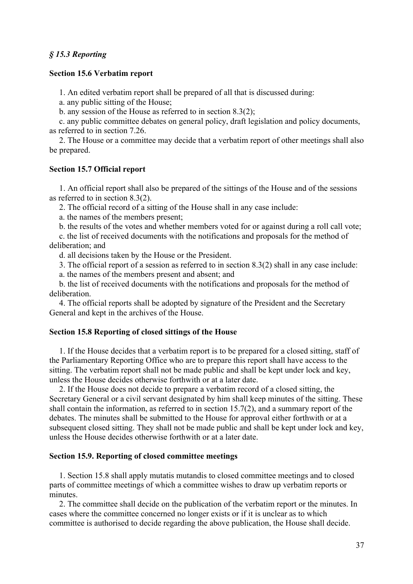# *§ 15.3 Reporting*

#### **Section 15.6 Verbatim report**

1. An edited verbatim report shall be prepared of all that is discussed during:

a. any public sitting of the House;

b. any session of the House as referred to in section 8.3(2);

 c. any public committee debates on general policy, draft legislation and policy documents, as referred to in section 7.26.

 2. The House or a committee may decide that a verbatim report of other meetings shall also be prepared.

## **Section 15.7 Official report**

 1. An official report shall also be prepared of the sittings of the House and of the sessions as referred to in section 8.3(2).

2. The official record of a sitting of the House shall in any case include:

a. the names of the members present;

b. the results of the votes and whether members voted for or against during a roll call vote;

 c. the list of received documents with the notifications and proposals for the method of deliberation; and

d. all decisions taken by the House or the President.

3. The official report of a session as referred to in section 8.3(2) shall in any case include:

a. the names of the members present and absent; and

 b. the list of received documents with the notifications and proposals for the method of deliberation.

 4. The official reports shall be adopted by signature of the President and the Secretary General and kept in the archives of the House.

## **Section 15.8 Reporting of closed sittings of the House**

 1. If the House decides that a verbatim report is to be prepared for a closed sitting, staff of the Parliamentary Reporting Office who are to prepare this report shall have access to the sitting. The verbatim report shall not be made public and shall be kept under lock and key, unless the House decides otherwise forthwith or at a later date.

 2. If the House does not decide to prepare a verbatim record of a closed sitting, the Secretary General or a civil servant designated by him shall keep minutes of the sitting. These shall contain the information, as referred to in section 15.7(2), and a summary report of the debates. The minutes shall be submitted to the House for approval either forthwith or at a subsequent closed sitting. They shall not be made public and shall be kept under lock and key, unless the House decides otherwise forthwith or at a later date.

#### **Section 15.9. Reporting of closed committee meetings**

 1. Section 15.8 shall apply mutatis mutandis to closed committee meetings and to closed parts of committee meetings of which a committee wishes to draw up verbatim reports or minutes.

 2. The committee shall decide on the publication of the verbatim report or the minutes. In cases where the committee concerned no longer exists or if it is unclear as to which committee is authorised to decide regarding the above publication, the House shall decide.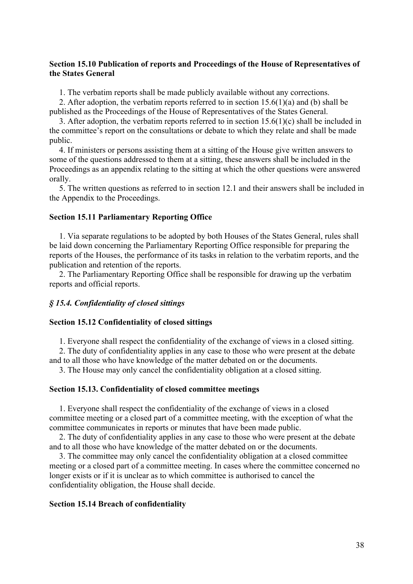# **Section 15.10 Publication of reports and Proceedings of the House of Representatives of the States General**

1. The verbatim reports shall be made publicly available without any corrections.

2. After adoption, the verbatim reports referred to in section  $15.6(1)(a)$  and (b) shall be published as the Proceedings of the House of Representatives of the States General.

 3. After adoption, the verbatim reports referred to in section 15.6(1)(c) shall be included in the committee's report on the consultations or debate to which they relate and shall be made public.

 4. If ministers or persons assisting them at a sitting of the House give written answers to some of the questions addressed to them at a sitting, these answers shall be included in the Proceedings as an appendix relating to the sitting at which the other questions were answered orally.

 5. The written questions as referred to in section 12.1 and their answers shall be included in the Appendix to the Proceedings.

#### **Section 15.11 Parliamentary Reporting Office**

 1. Via separate regulations to be adopted by both Houses of the States General, rules shall be laid down concerning the Parliamentary Reporting Office responsible for preparing the reports of the Houses, the performance of its tasks in relation to the verbatim reports, and the publication and retention of the reports.

 2. The Parliamentary Reporting Office shall be responsible for drawing up the verbatim reports and official reports.

## *§ 15.4. Confidentiality of closed sittings*

#### **Section 15.12 Confidentiality of closed sittings**

1. Everyone shall respect the confidentiality of the exchange of views in a closed sitting.

 2. The duty of confidentiality applies in any case to those who were present at the debate and to all those who have knowledge of the matter debated on or the documents.

3. The House may only cancel the confidentiality obligation at a closed sitting.

#### **Section 15.13. Confidentiality of closed committee meetings**

 1. Everyone shall respect the confidentiality of the exchange of views in a closed committee meeting or a closed part of a committee meeting, with the exception of what the committee communicates in reports or minutes that have been made public.

 2. The duty of confidentiality applies in any case to those who were present at the debate and to all those who have knowledge of the matter debated on or the documents.

 3. The committee may only cancel the confidentiality obligation at a closed committee meeting or a closed part of a committee meeting. In cases where the committee concerned no longer exists or if it is unclear as to which committee is authorised to cancel the confidentiality obligation, the House shall decide.

#### **Section 15.14 Breach of confidentiality**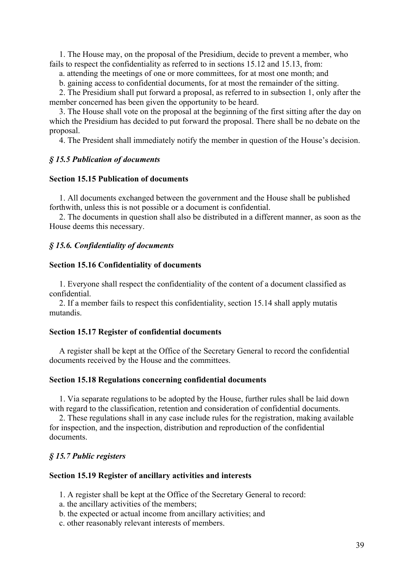1. The House may, on the proposal of the Presidium, decide to prevent a member, who fails to respect the confidentiality as referred to in sections 15.12 and 15.13, from:

a. attending the meetings of one or more committees, for at most one month; and

b. gaining access to confidential documents, for at most the remainder of the sitting.

 2. The Presidium shall put forward a proposal, as referred to in subsection 1, only after the member concerned has been given the opportunity to be heard.

 3. The House shall vote on the proposal at the beginning of the first sitting after the day on which the Presidium has decided to put forward the proposal. There shall be no debate on the proposal.

4. The President shall immediately notify the member in question of the House's decision.

## *§ 15.5 Publication of documents*

## **Section 15.15 Publication of documents**

 1. All documents exchanged between the government and the House shall be published forthwith, unless this is not possible or a document is confidential.

 2. The documents in question shall also be distributed in a different manner, as soon as the House deems this necessary.

#### *§ 15.6. Confidentiality of documents*

#### **Section 15.16 Confidentiality of documents**

 1. Everyone shall respect the confidentiality of the content of a document classified as confidential.

 2. If a member fails to respect this confidentiality, section 15.14 shall apply mutatis mutandis.

# **Section 15.17 Register of confidential documents**

 A register shall be kept at the Office of the Secretary General to record the confidential documents received by the House and the committees.

#### **Section 15.18 Regulations concerning confidential documents**

 1. Via separate regulations to be adopted by the House, further rules shall be laid down with regard to the classification, retention and consideration of confidential documents.

 2. These regulations shall in any case include rules for the registration, making available for inspection, and the inspection, distribution and reproduction of the confidential documents.

#### *§ 15.7 Public registers*

## **Section 15.19 Register of ancillary activities and interests**

1. A register shall be kept at the Office of the Secretary General to record:

- a. the ancillary activities of the members;
- b. the expected or actual income from ancillary activities; and
- c. other reasonably relevant interests of members.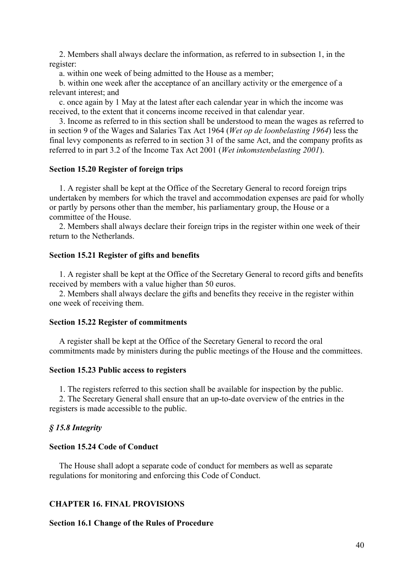2. Members shall always declare the information, as referred to in subsection 1, in the register:

a. within one week of being admitted to the House as a member;

 b. within one week after the acceptance of an ancillary activity or the emergence of a relevant interest; and

 c. once again by 1 May at the latest after each calendar year in which the income was received, to the extent that it concerns income received in that calendar year.

 3. Income as referred to in this section shall be understood to mean the wages as referred to in section 9 of the Wages and Salaries Tax Act 1964 (*Wet op de loonbelasting 1964*) less the final levy components as referred to in section 31 of the same Act, and the company profits as referred to in part 3.2 of the Income Tax Act 2001 (*Wet inkomstenbelasting 2001*).

## **Section 15.20 Register of foreign trips**

 1. A register shall be kept at the Office of the Secretary General to record foreign trips undertaken by members for which the travel and accommodation expenses are paid for wholly or partly by persons other than the member, his parliamentary group, the House or a committee of the House.

 2. Members shall always declare their foreign trips in the register within one week of their return to the Netherlands.

## **Section 15.21 Register of gifts and benefits**

 1. A register shall be kept at the Office of the Secretary General to record gifts and benefits received by members with a value higher than 50 euros.

 2. Members shall always declare the gifts and benefits they receive in the register within one week of receiving them.

#### **Section 15.22 Register of commitments**

A register shall be kept at the Office of the Secretary General to record the oral commitments made by ministers during the public meetings of the House and the committees.

#### **Section 15.23 Public access to registers**

1. The registers referred to this section shall be available for inspection by the public.

 2. The Secretary General shall ensure that an up-to-date overview of the entries in the registers is made accessible to the public.

#### *§ 15.8 Integrity*

# **Section 15.24 Code of Conduct**

 The House shall adopt a separate code of conduct for members as well as separate regulations for monitoring and enforcing this Code of Conduct.

#### **CHAPTER 16. FINAL PROVISIONS**

#### **Section 16.1 Change of the Rules of Procedure**